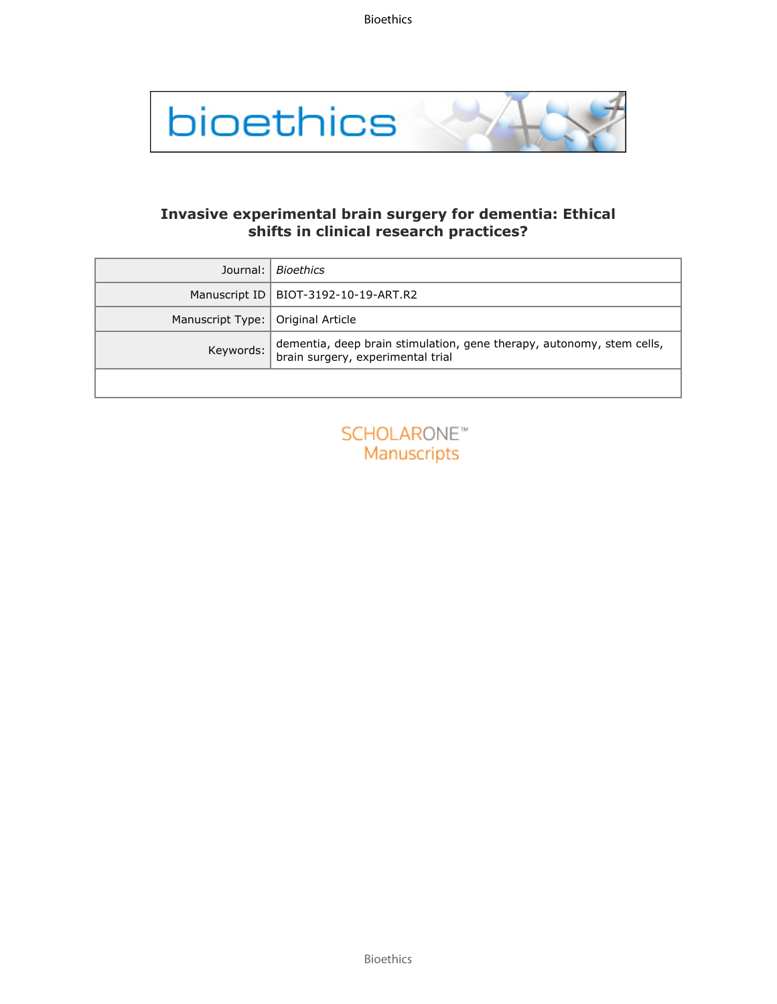

## **Invasive experimental brain surgery for dementia: Ethical shifts in clinical research practices?**

| Journal:         | <b>Bioethics</b>                                                                                           |  |  |  |  |
|------------------|------------------------------------------------------------------------------------------------------------|--|--|--|--|
| Manuscript ID    | BIOT-3192-10-19-ART.R2                                                                                     |  |  |  |  |
| Manuscript Type: | Original Article                                                                                           |  |  |  |  |
| Keywords:        | dementia, deep brain stimulation, gene therapy, autonomy, stem cells,<br>brain surgery, experimental trial |  |  |  |  |
|                  |                                                                                                            |  |  |  |  |
|                  |                                                                                                            |  |  |  |  |
|                  | SCHOLARONE <sup>*</sup>                                                                                    |  |  |  |  |
|                  | Manuscripts                                                                                                |  |  |  |  |
|                  |                                                                                                            |  |  |  |  |
|                  |                                                                                                            |  |  |  |  |
|                  |                                                                                                            |  |  |  |  |
|                  |                                                                                                            |  |  |  |  |
|                  |                                                                                                            |  |  |  |  |
|                  |                                                                                                            |  |  |  |  |
|                  |                                                                                                            |  |  |  |  |
|                  |                                                                                                            |  |  |  |  |
|                  |                                                                                                            |  |  |  |  |

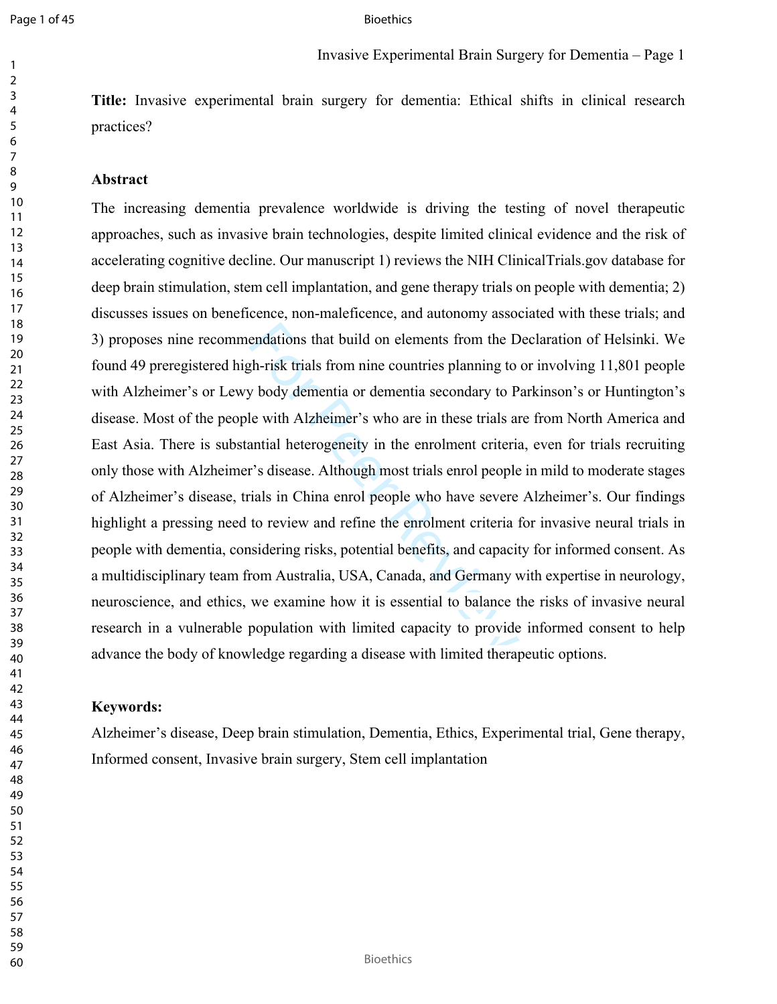#### Bioethics

**Title:** Invasive experimental brain surgery for dementia: Ethical shifts in clinical research practices?

### **Abstract**

endations that build on elements from the D<br>gh-risk trials from nine countries planning to<br>y body dementia or dementia secondary to P<br>le with Alzheimer's who are in these trials an<br>antial heterogeneity in the enrolment cri The increasing dementia prevalence worldwide is driving the testing of novel therapeutic approaches, such as invasive brain technologies, despite limited clinical evidence and the risk of accelerating cognitive decline. Our manuscript 1) reviews the NIH ClinicalTrials.gov database for deep brain stimulation, stem cell implantation, and gene therapy trials on people with dementia; 2) discusses issues on beneficence, non-maleficence, and autonomy associated with these trials; and 3) proposes nine recommendations that build on elements from the Declaration of Helsinki. We found 49 preregistered high-risk trials from nine countries planning to or involving 11,801 people with Alzheimer's or Lewy body dementia or dementia secondary to Parkinson's or Huntington's disease. Most of the people with Alzheimer's who are in these trials are from North America and East Asia. There is substantial heterogeneity in the enrolment criteria, even for trials recruiting only those with Alzheimer's disease. Although most trials enrol people in mild to moderate stages of Alzheimer's disease, trials in China enrol people who have severe Alzheimer's. Our findings highlight a pressing need to review and refine the enrolment criteria for invasive neural trials in people with dementia, considering risks, potential benefits, and capacity for informed consent. As a multidisciplinary team from Australia, USA, Canada, and Germany with expertise in neurology, neuroscience, and ethics, we examine how it is essential to balance the risks of invasive neural research in a vulnerable population with limited capacity to provide informed consent to help advance the body of knowledge regarding a disease with limited therapeutic options.

## **Keywords:**

Alzheimer's disease, Deep brain stimulation, Dementia, Ethics, Experimental trial, Gene therapy, Informed consent, Invasive brain surgery, Stem cell implantation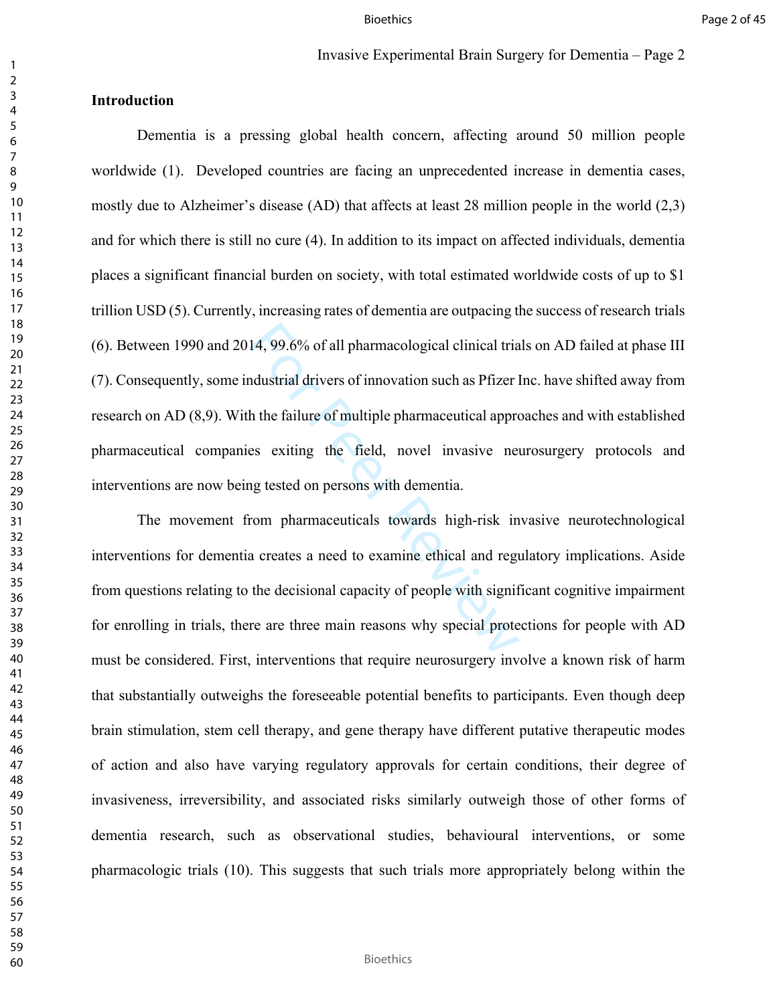### **Introduction**

14, 99.6% of all pharmacological clinical tria<br>
ndustrial drivers of innovation such as Pfizer I<br>
h the failure of multiple pharmaceutical approx<br>
es exiting the field, novel invasive net<br>
ng tested on persons with dementi Dementia is a pressing global health concern, affecting around 50 million people worldwide (1). Developed countries are facing an unprecedented increase in dementia cases, mostly due to Alzheimer's disease (AD) that affects at least 28 million people in the world (2,3) and for which there is still no cure (4). In addition to its impact on affected individuals, dementia places a significant financial burden on society, with total estimated worldwide costs of up to \$1 trillion USD (5). Currently, increasing rates of dementia are outpacing the success of research trials (6). Between 1990 and 2014, 99.6% of all pharmacological clinical trials on AD failed at phase III (7). Consequently, some industrial drivers of innovation such as Pfizer Inc. have shifted away from research on AD (8,9). With the failure of multiple pharmaceutical approaches and with established pharmaceutical companies exiting the field, novel invasive neurosurgery protocols and interventions are now being tested on persons with dementia.

The movement from pharmaceuticals towards high-risk invasive neurotechnological interventions for dementia creates a need to examine ethical and regulatory implications. Aside from questions relating to the decisional capacity of people with significant cognitive impairment for enrolling in trials, there are three main reasons why special protections for people with AD must be considered. First, interventions that require neurosurgery involve a known risk of harm that substantially outweighs the foreseeable potential benefits to participants. Even though deep brain stimulation, stem cell therapy, and gene therapy have different putative therapeutic modes of action and also have varying regulatory approvals for certain conditions, their degree of invasiveness, irreversibility, and associated risks similarly outweigh those of other forms of dementia research, such as observational studies, behavioural interventions, or some pharmacologic trials (10). This suggests that such trials more appropriately belong within the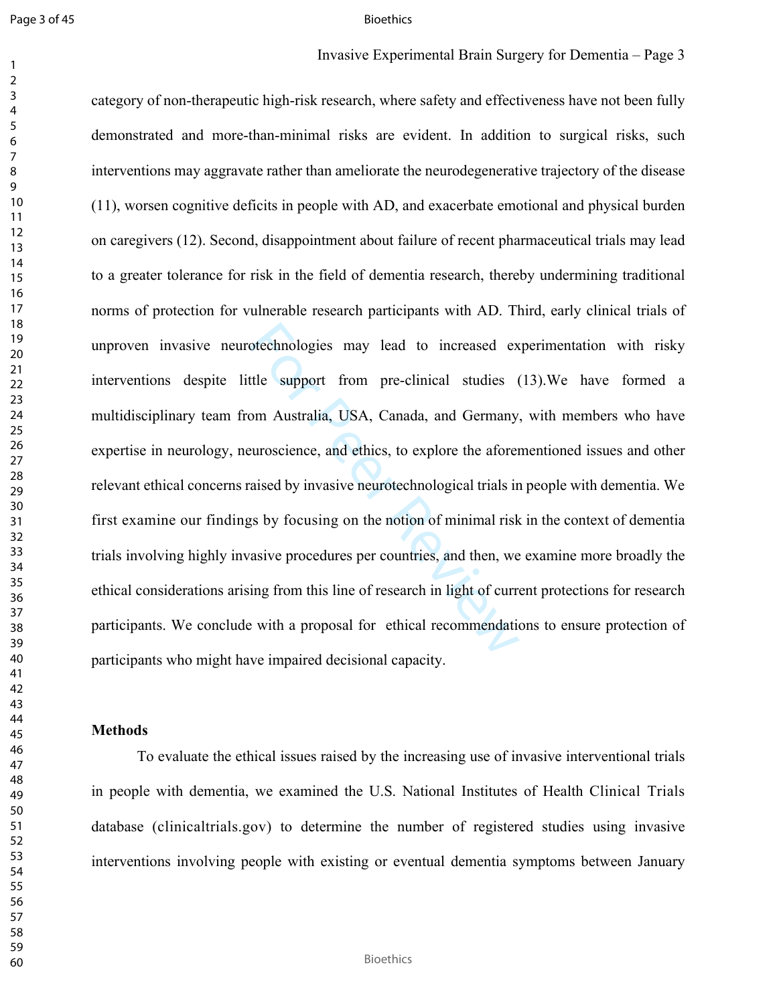#### Bioethics

## Invasive Experimental Brain Surgery for Dementia – Page 3

otechnologies may lead to increased exercit<br>the support from pre-clinical studies (<br>om Australia, USA, Canada, and Germany,<br>euroscience, and ethics, to explore the aforer<br>aised by invasive neurotechnological trials in<br>gs b category of non-therapeutic high-risk research, where safety and effectiveness have not been fully demonstrated and more-than-minimal risks are evident. In addition to surgical risks, such interventions may aggravate rather than ameliorate the neurodegenerative trajectory of the disease (11), worsen cognitive deficits in people with AD, and exacerbate emotional and physical burden on caregivers (12). Second, disappointment about failure of recent pharmaceutical trials may lead to a greater tolerance for risk in the field of dementia research, thereby undermining traditional norms of protection for vulnerable research participants with AD. Third, early clinical trials of unproven invasive neurotechnologies may lead to increased experimentation with risky interventions despite little support from pre-clinical studies (13).We have formed a multidisciplinary team from Australia, USA, Canada, and Germany, with members who have expertise in neurology, neuroscience, and ethics, to explore the aforementioned issues and other relevant ethical concerns raised by invasive neurotechnological trials in people with dementia. We first examine our findings by focusing on the notion of minimal risk in the context of dementia trials involving highly invasive procedures per countries, and then, we examine more broadly the ethical considerations arising from this line of research in light of current protections for research participants. We conclude with a proposal for ethical recommendations to ensure protection of participants who might have impaired decisional capacity.

#### **Methods**

To evaluate the ethical issues raised by the increasing use of invasive interventional trials in people with dementia, we examined the U.S. National Institutes of Health Clinical Trials database (clinicaltrials.gov) to determine the number of registered studies using invasive interventions involving people with existing or eventual dementia symptoms between January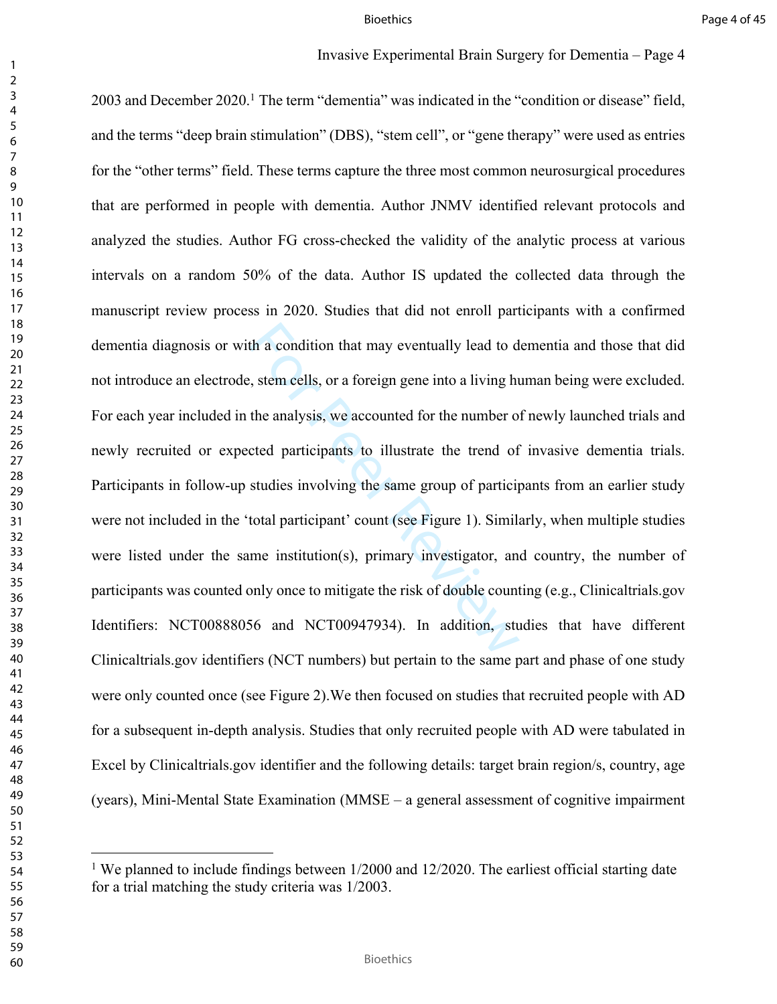#### Bioethics

Invasive Experimental Brain Surgery for Dementia – Page 4

th a condition that may eventually lead to d<br>
i, stem cells, or a foreign gene into a living h<br>
the analysis, we accounted for the number of<br>
cted participants to illustrate the trend of<br>
studies involving the same group o 2003 and December 2020.<sup>1</sup> The term "dementia" was indicated in the "condition or disease" field, and the terms "deep brain stimulation" (DBS), "stem cell", or "gene therapy" were used as entries for the "other terms" field. These terms capture the three most common neurosurgical procedures that are performed in people with dementia. Author JNMV identified relevant protocols and analyzed the studies. Author FG cross-checked the validity of the analytic process at various intervals on a random 50% of the data. Author IS updated the collected data through the manuscript review process in 2020. Studies that did not enroll participants with a confirmed dementia diagnosis or with a condition that may eventually lead to dementia and those that did not introduce an electrode, stem cells, or a foreign gene into a living human being were excluded. For each year included in the analysis, we accounted for the number of newly launched trials and newly recruited or expected participants to illustrate the trend of invasive dementia trials. Participants in follow-up studies involving the same group of participants from an earlier study were not included in the 'total participant' count (see Figure 1). Similarly, when multiple studies were listed under the same institution(s), primary investigator, and country, the number of participants was counted only once to mitigate the risk of double counting (e.g., Clinicaltrials.gov Identifiers: NCT00888056 and NCT00947934). In addition, studies that have different Clinicaltrials.gov identifiers (NCT numbers) but pertain to the same part and phase of one study were only counted once (see Figure 2).We then focused on studies that recruited people with AD for a subsequent in-depth analysis. Studies that only recruited people with AD were tabulated in Excel by Clinicaltrials.gov identifier and the following details: target brain region/s, country, age (years), Mini-Mental State Examination (MMSE – a general assessment of cognitive impairment

<sup>&</sup>lt;sup>1</sup> We planned to include findings between 1/2000 and 12/2020. The earliest official starting date for a trial matching the study criteria was 1/2003.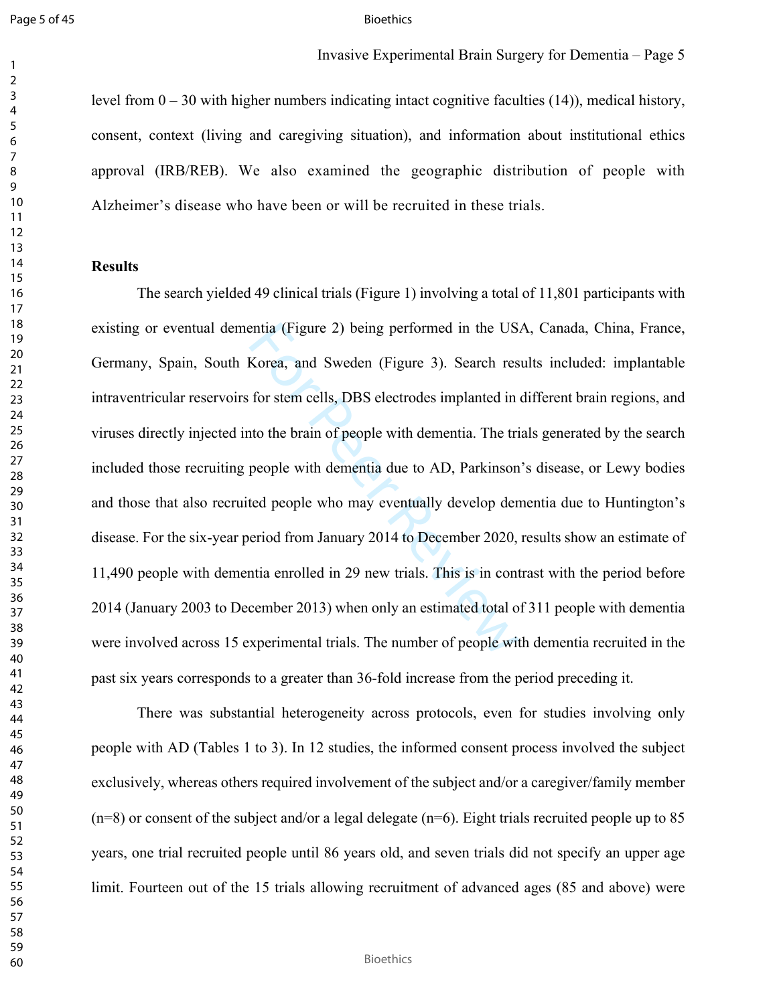#### Bioethics

level from  $0 - 30$  with higher numbers indicating intact cognitive faculties (14)), medical history, consent, context (living and caregiving situation), and information about institutional ethics approval (IRB/REB). We also examined the geographic distribution of people with Alzheimer's disease who have been or will be recruited in these trials.

## **Results**

entia (Figure 2) being performed in the US.<br>Korea, and Sweden (Figure 3). Search res<br>for stem cells, DBS electrodes implanted in<br>to the brain of people with dementia. The tri<br>people with dementia due to AD, Parkinson<br>ted p The search yielded 49 clinical trials (Figure 1) involving a total of 11,801 participants with existing or eventual dementia (Figure 2) being performed in the USA, Canada, China, France, Germany, Spain, South Korea, and Sweden (Figure 3). Search results included: implantable intraventricular reservoirs for stem cells, DBS electrodes implanted in different brain regions, and viruses directly injected into the brain of people with dementia. The trials generated by the search included those recruiting people with dementia due to AD, Parkinson's disease, or Lewy bodies and those that also recruited people who may eventually develop dementia due to Huntington's disease. For the six-year period from January 2014 to December 2020, results show an estimate of 11,490 people with dementia enrolled in 29 new trials. This is in contrast with the period before 2014 (January 2003 to December 2013) when only an estimated total of 311 people with dementia were involved across 15 experimental trials. The number of people with dementia recruited in the past six years corresponds to a greater than 36-fold increase from the period preceding it.

There was substantial heterogeneity across protocols, even for studies involving only people with AD (Tables 1 to 3). In 12 studies, the informed consent process involved the subject exclusively, whereas others required involvement of the subject and/or a caregiver/family member  $(n=8)$  or consent of the subject and/or a legal delegate  $(n=6)$ . Eight trials recruited people up to 85 years, one trial recruited people until 86 years old, and seven trials did not specify an upper age limit. Fourteen out of the 15 trials allowing recruitment of advanced ages (85 and above) were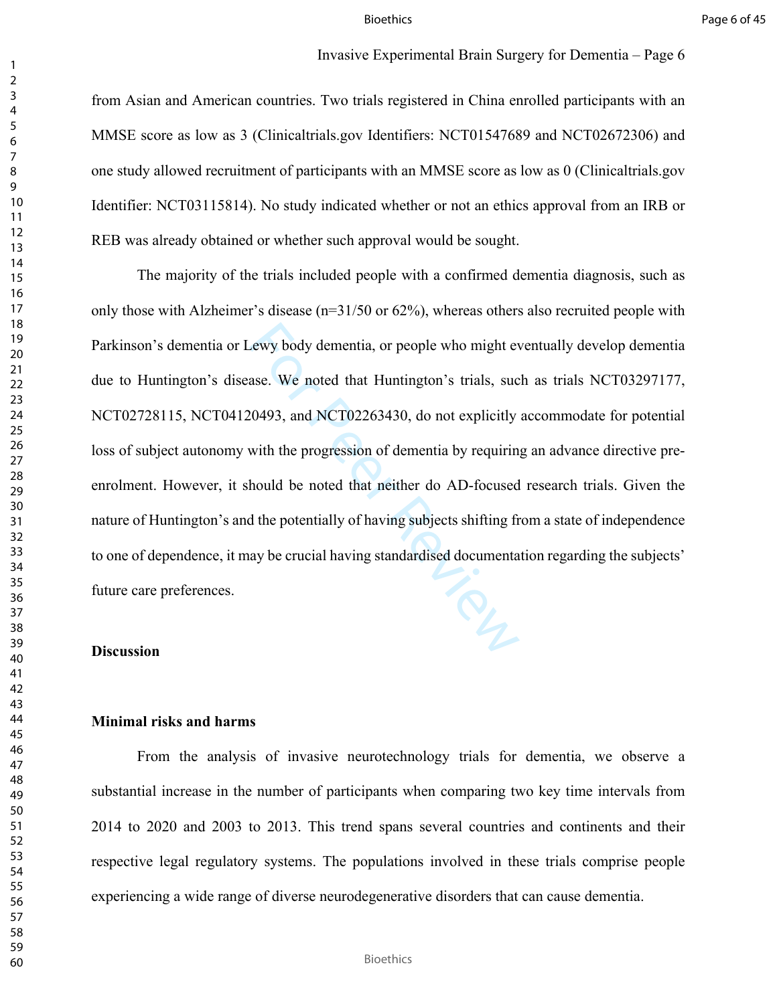#### Bioethics

Invasive Experimental Brain Surgery for Dementia – Page 6

from Asian and American countries. Two trials registered in China enrolled participants with an MMSE score as low as 3 (Clinicaltrials.gov Identifiers: NCT01547689 and NCT02672306) and one study allowed recruitment of participants with an MMSE score as low as 0 (Clinicaltrials.gov Identifier: NCT03115814). No study indicated whether or not an ethics approval from an IRB or REB was already obtained or whether such approval would be sought.

Lewy body dementia, or people who might evalues.<br>
Similar example who might evalues are. We noted that Huntington's trials, suce<br>
10493, and NCT02263430, do not explicitly<br>
with the progression of dementia by requirin<br>
hou The majority of the trials included people with a confirmed dementia diagnosis, such as only those with Alzheimer's disease ( $n=31/50$  or  $62\%$ ), whereas others also recruited people with Parkinson's dementia or Lewy body dementia, or people who might eventually develop dementia due to Huntington's disease. We noted that Huntington's trials, such as trials NCT03297177, NCT02728115, NCT04120493, and NCT02263430, do not explicitly accommodate for potential loss of subject autonomy with the progression of dementia by requiring an advance directive preenrolment. However, it should be noted that neither do AD-focused research trials. Given the nature of Huntington's and the potentially of having subjects shifting from a state of independence to one of dependence, it may be crucial having standardised documentation regarding the subjects' future care preferences.

## **Discussion**

### **Minimal risks and harms**

From the analysis of invasive neurotechnology trials for dementia, we observe a substantial increase in the number of participants when comparing two key time intervals from 2014 to 2020 and 2003 to 2013. This trend spans several countries and continents and their respective legal regulatory systems. The populations involved in these trials comprise people experiencing a wide range of diverse neurodegenerative disorders that can cause dementia.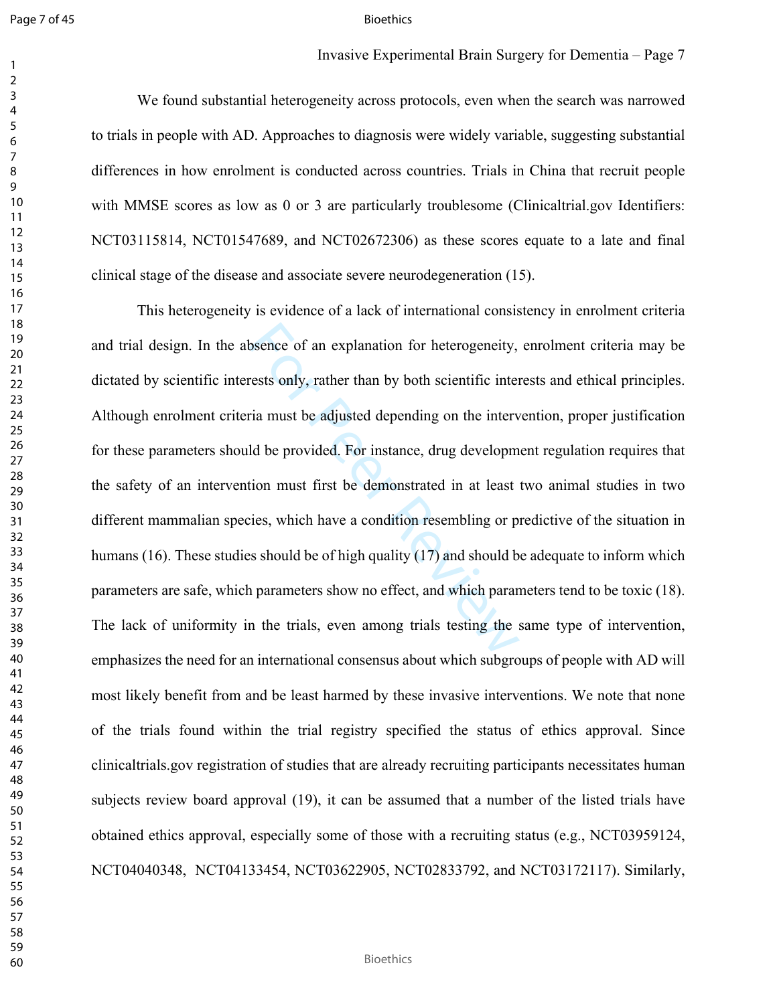#### Bioethics

### Invasive Experimental Brain Surgery for Dementia – Page 7

We found substantial heterogeneity across protocols, even when the search was narrowed to trials in people with AD. Approaches to diagnosis were widely variable, suggesting substantial differences in how enrolment is conducted across countries. Trials in China that recruit people with MMSE scores as low as 0 or 3 are particularly troublesome (Clinicaltrial.gov Identifiers: NCT03115814, NCT01547689, and NCT02672306) as these scores equate to a late and final clinical stage of the disease and associate severe neurodegeneration (15).

bsence of an explanation for heterogeneity,<br>rests only, rather than by both scientific inter-<br>ria must be adjusted depending on the interv-<br>Id be provided. For instance, drug developm-<br>tion must first be demonstrated in at This heterogeneity is evidence of a lack of international consistency in enrolment criteria and trial design. In the absence of an explanation for heterogeneity, enrolment criteria may be dictated by scientific interests only, rather than by both scientific interests and ethical principles. Although enrolment criteria must be adjusted depending on the intervention, proper justification for these parameters should be provided. For instance, drug development regulation requires that the safety of an intervention must first be demonstrated in at least two animal studies in two different mammalian species, which have a condition resembling or predictive of the situation in humans (16). These studies should be of high quality (17) and should be adequate to inform which parameters are safe, which parameters show no effect, and which parameters tend to be toxic (18). The lack of uniformity in the trials, even among trials testing the same type of intervention, emphasizes the need for an international consensus about which subgroups of people with AD will most likely benefit from and be least harmed by these invasive interventions. We note that none of the trials found within the trial registry specified the status of ethics approval. Since clinicaltrials.gov registration of studies that are already recruiting participants necessitates human subjects review board approval (19), it can be assumed that a number of the listed trials have obtained ethics approval, especially some of those with a recruiting status (e.g., NCT03959124, NCT04040348, NCT04133454, NCT03622905, NCT02833792, and NCT03172117). Similarly,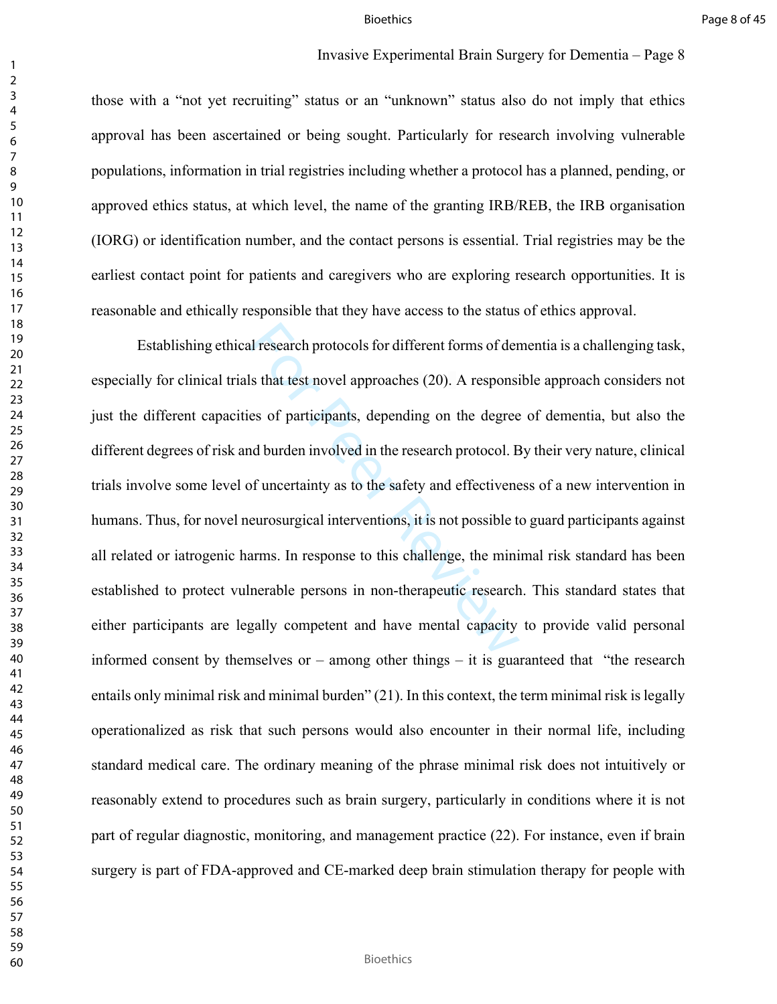#### Bioethics

Invasive Experimental Brain Surgery for Dementia – Page 8

those with a "not yet recruiting" status or an "unknown" status also do not imply that ethics approval has been ascertained or being sought. Particularly for research involving vulnerable populations, information in trial registries including whether a protocol has a planned, pending, or approved ethics status, at which level, the name of the granting IRB/REB, the IRB organisation (IORG) or identification number, and the contact persons is essential. Trial registries may be the earliest contact point for patients and caregivers who are exploring research opportunities. It is reasonable and ethically responsible that they have access to the status of ethics approval.

al research protocols for different forms of der<br>Is that test novel approaches (20). A responsi<br>es of participants, depending on the degree<br>Independent involved in the research protocol. But<br>of uncertainty as to the safety Establishing ethical research protocols for different forms of dementia is a challenging task, especially for clinical trials that test novel approaches (20). A responsible approach considers not just the different capacities of participants, depending on the degree of dementia, but also the different degrees of risk and burden involved in the research protocol. By their very nature, clinical trials involve some level of uncertainty as to the safety and effectiveness of a new intervention in humans. Thus, for novel neurosurgical interventions, it is not possible to guard participants against all related or iatrogenic harms. In response to this challenge, the minimal risk standard has been established to protect vulnerable persons in non-therapeutic research. This standard states that either participants are legally competent and have mental capacity to provide valid personal informed consent by themselves or – among other things – it is guaranteed that "the research entails only minimal risk and minimal burden" (21). In this context, the term minimal risk is legally operationalized as risk that such persons would also encounter in their normal life, including standard medical care. The ordinary meaning of the phrase minimal risk does not intuitively or reasonably extend to procedures such as brain surgery, particularly in conditions where it is not part of regular diagnostic, monitoring, and management practice (22). For instance, even if brain surgery is part of FDA-approved and CE-marked deep brain stimulation therapy for people with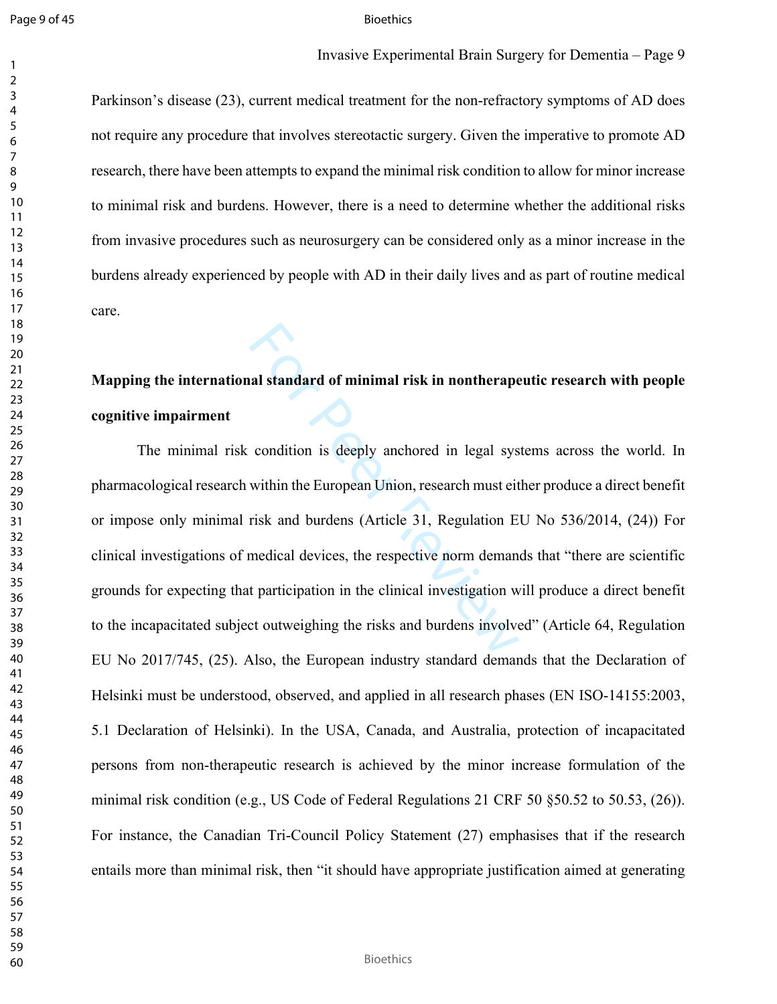#### Bioethics

Parkinson's disease (23), current medical treatment for the non-refractory symptoms of AD does not require any procedure that involves stereotactic surgery. Given the imperative to promote AD research, there have been attempts to expand the minimal risk condition to allow for minor increase to minimal risk and burdens. However, there is a need to determine whether the additional risks from invasive procedures such as neurosurgery can be considered only as a minor increase in the burdens already experienced by people with AD in their daily lives and as part of routine medical care.

# **Mapping the international standard of minimal risk in nontherapeutic research with people cognitive impairment**

al standard of minimal risk in nontherape<br>condition is deeply anchored in legal sys<br>within the European Union, research must eit<br>risk and burdens (Article 31, Regulation E<br>medical devices, the respective norm deman-<br>t part The minimal risk condition is deeply anchored in legal systems across the world. In pharmacological research within the European Union, research must either produce a direct benefit or impose only minimal risk and burdens (Article 31, [Regulation EU No 536/2014](https://eur-lex.europa.eu/legal-content/EN/TXT/HTML/?uri=CELEX:32014R0536&from=DE), (24)) For clinical investigations of medical devices, the respective norm demands that "there are scientific grounds for expecting that participation in the clinical investigation will produce a direct benefit to the incapacitated subject outweighing the risks and burdens involved" (Article 64, [Regulation](https://eur-lex.europa.eu/legal-content/EN/TXT/HTML/?uri=CELEX:32017R0745&from=EN)  [EU No 2017/745,](https://eur-lex.europa.eu/legal-content/EN/TXT/HTML/?uri=CELEX:32017R0745&from=EN) (25). Also, the European industry standard demands that the Declaration of Helsinki must be understood, observed, and applied in all research phases (EN ISO-14155:2003, 5.1 Declaration of Helsinki). In the USA, Canada, and Australia, protection of incapacitated persons from non-therapeutic research is achieved by the minor increase formulation of the minimal risk condition (e.g., US Code of Federal Regulations 21 CRF 50 §50.52 to 50.53, (26)). For instance, the Canadian Tri-Council Policy Statement (27) emphasises that if the research entails more than minimal risk, then "it should have appropriate justification aimed at generating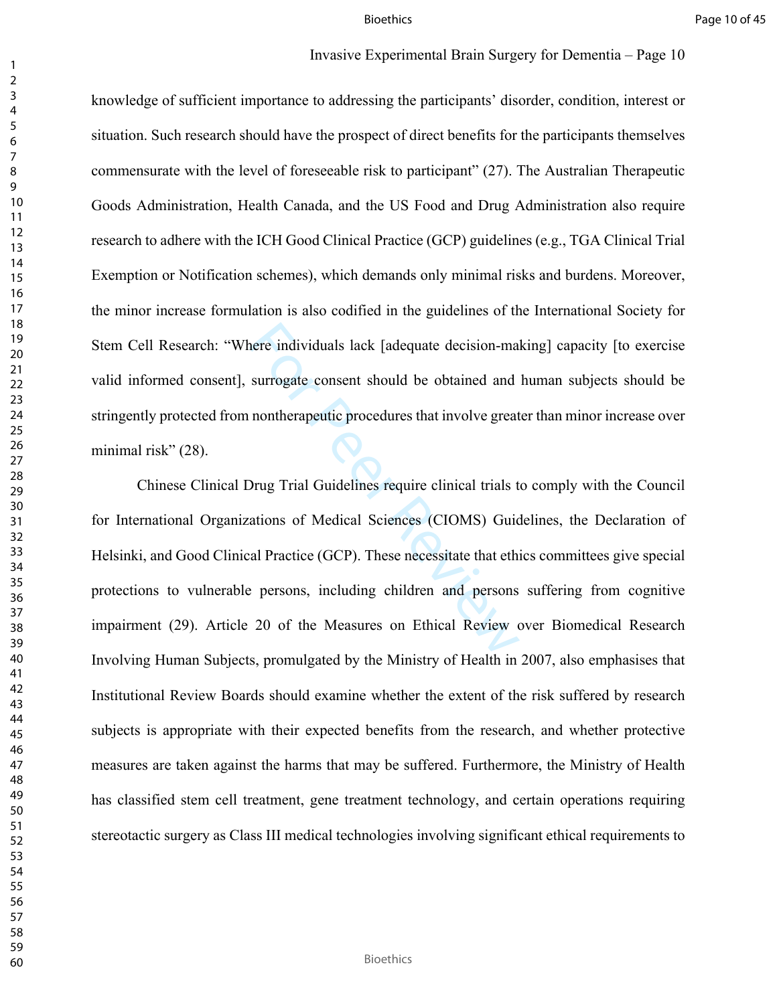#### Bioethics

### Invasive Experimental Brain Surgery for Dementia – Page 10

knowledge of sufficient importance to addressing the participants' disorder, condition, interest or situation. Such research should have the prospect of direct benefits for the participants themselves commensurate with the level of foreseeable risk to participant" (27). The Australian Therapeutic Goods Administration, Health Canada, and the US Food and Drug Administration also require research to adhere with the ICH Good Clinical Practice (GCP) guidelines (e.g., TGA Clinical Trial Exemption or Notification schemes), which demands only minimal risks and burdens. Moreover, the minor increase formulation is also codified in the guidelines of the International Society for Stem Cell Research: "Where individuals lack [adequate decision-making] capacity [to exercise valid informed consent], surrogate consent should be obtained and human subjects should be stringently protected from nontherapeutic procedures that involve greater than minor increase over minimal risk" (28).

nere individuals lack [adequate decision-max surrogate consent should be obtained and<br>nontherapeutic procedures that involve great<br>Drug Trial Guidelines require clinical trials t<br>ations of Medical Sciences (CIOMS) Guidelin Chinese Clinical Drug Trial Guidelines require clinical trials to comply with the Council for International Organizations of Medical Sciences (CIOMS) Guidelines, the Declaration of Helsinki, and Good Clinical Practice (GCP). These necessitate that ethics committees give special protections to vulnerable persons, including children and persons suffering from cognitive impairment (29). Article 20 of the Measures on Ethical Review over Biomedical Research Involving Human Subjects, promulgated by the Ministry of Health in 2007, also emphasises that Institutional Review Boards should examine whether the extent of the risk suffered by research subjects is appropriate with their expected benefits from the research, and whether protective measures are taken against the harms that may be suffered. Furthermore, the Ministry of Health has classified stem cell treatment, gene treatment technology, and certain operations requiring stereotactic surgery as Class III medical technologies involving significant ethical requirements to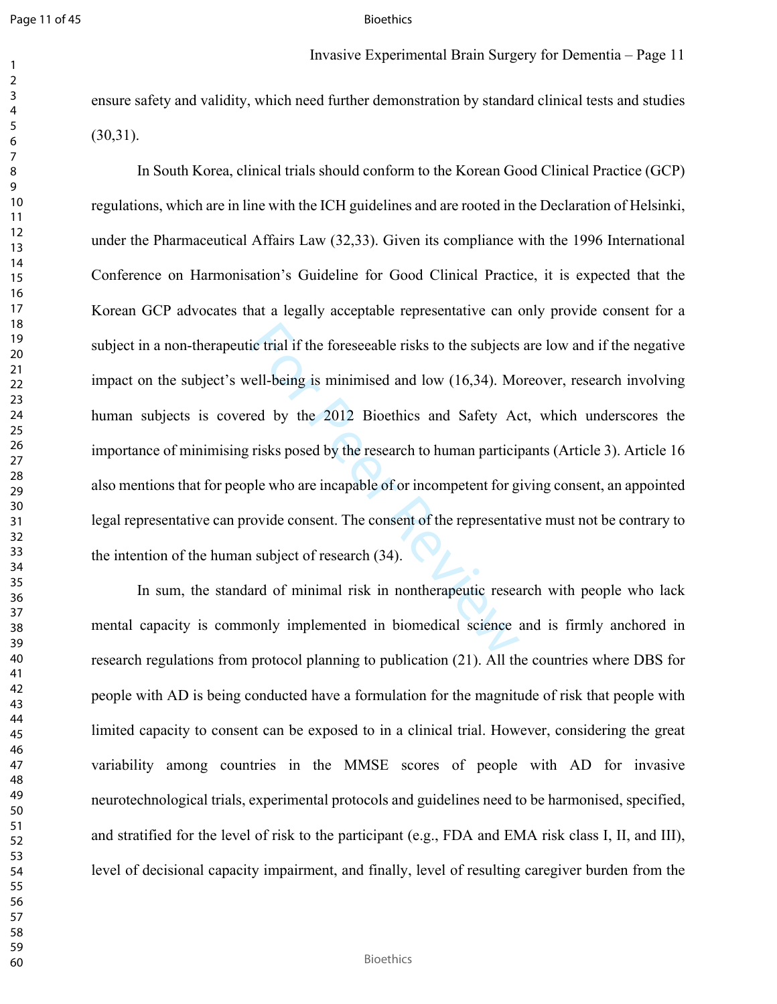#### Bioethics

ensure safety and validity, which need further demonstration by standard clinical tests and studies (30,31).

ic trial if the foreseeable risks to the subjects<br>rell-being is minimised and low (16,34). Moved by the 2012 Bioethics and Safety Ac<br>risks posed by the research to human particip<br>ple who are incapable of or incompetent fo In South Korea, clinical trials should conform to the Korean Good Clinical Practice (GCP) regulations, which are in line with the ICH guidelines and are rooted in the Declaration of Helsinki, under the Pharmaceutical Affairs Law (32,33). Given its compliance with the 1996 International Conference on Harmonisation's Guideline for Good Clinical Practice, it is expected that the Korean GCP advocates that a legally acceptable representative can only provide consent for a subject in a non-therapeutic trial if the foreseeable risks to the subjects are low and if the negative impact on the subject's well-being is minimised and low (16,34). Moreover, research involving human subjects is covered by the 2012 Bioethics and Safety Act, which underscores the importance of minimising risks posed by the research to human participants (Article 3). Article 16 also mentions that for people who are incapable of or incompetent for giving consent, an appointed legal representative can provide consent. The consent of the representative must not be contrary to the intention of the human subject of research (34).

In sum, the standard of minimal risk in nontherapeutic research with people who lack mental capacity is commonly implemented in biomedical science and is firmly anchored in research regulations from protocol planning to publication (21). All the countries where DBS for people with AD is being conducted have a formulation for the magnitude of risk that people with limited capacity to consent can be exposed to in a clinical trial. However, considering the great variability among countries in the MMSE scores of people with AD for invasive neurotechnological trials, experimental protocols and guidelines need to be harmonised, specified, and stratified for the level of risk to the participant (e.g., FDA and EMA risk class I, II, and III), level of decisional capacity impairment, and finally, level of resulting caregiver burden from the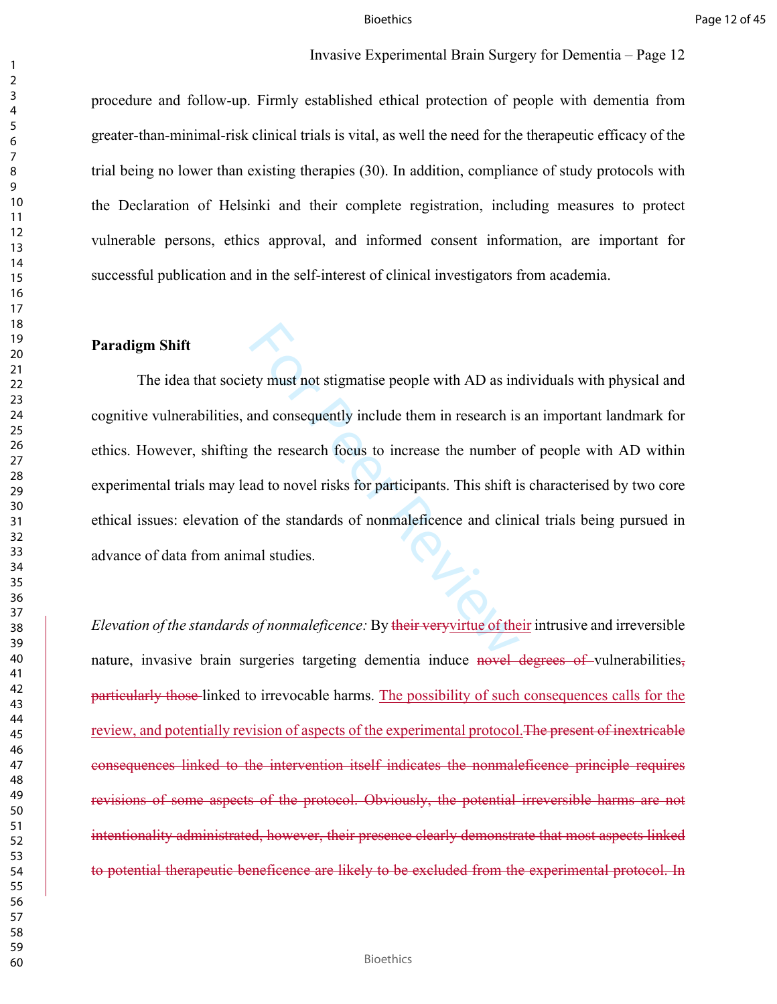#### Bioethics

Invasive Experimental Brain Surgery for Dementia – Page 12

procedure and follow-up. Firmly established ethical protection of people with dementia from greater-than-minimal-risk clinical trials is vital, as well the need for the therapeutic efficacy of the trial being no lower than existing therapies (30). In addition, compliance of study protocols with the Declaration of Helsinki and their complete registration, including measures to protect vulnerable persons, ethics approval, and informed consent information, are important for successful publication and in the self-interest of clinical investigators from academia.

#### **Paradigm Shift**

ty must not stigmatise people with AD as independently include them in research is<br>the research focus to increase the number<br>ad to novel risks for participants. This shift is<br>of the standards of nonmaleficence and clini<br>na The idea that society must not stigmatise people with AD as individuals with physical and cognitive vulnerabilities, and consequently include them in research is an important landmark for ethics. However, shifting the research focus to increase the number of people with AD within experimental trials may lead to novel risks for participants. This shift is characterised by two core ethical issues: elevation of the standards of nonmaleficence and clinical trials being pursued in advance of data from animal studies.

*Elevation of the standards of nonmaleficence:* By their veryvirtue of their intrusive and irreversible nature, invasive brain surgeries targeting dementia induce novel degrees of vulnerabilities, particularly those linked to irrevocable harms. The possibility of such consequences calls for the review, and potentially revision of aspects of the experimental protocol.The present of inextricable consequences linked to the intervention itself indicates the nonmaleficence principle requires revisions of some aspects of the protocol. Obviously, the potential irreversible harms are not intentionality administrated, however, their presence clearly demonstrate that most aspects linked to potential therapeutic beneficence are likely to be excluded from the experimental protocol. In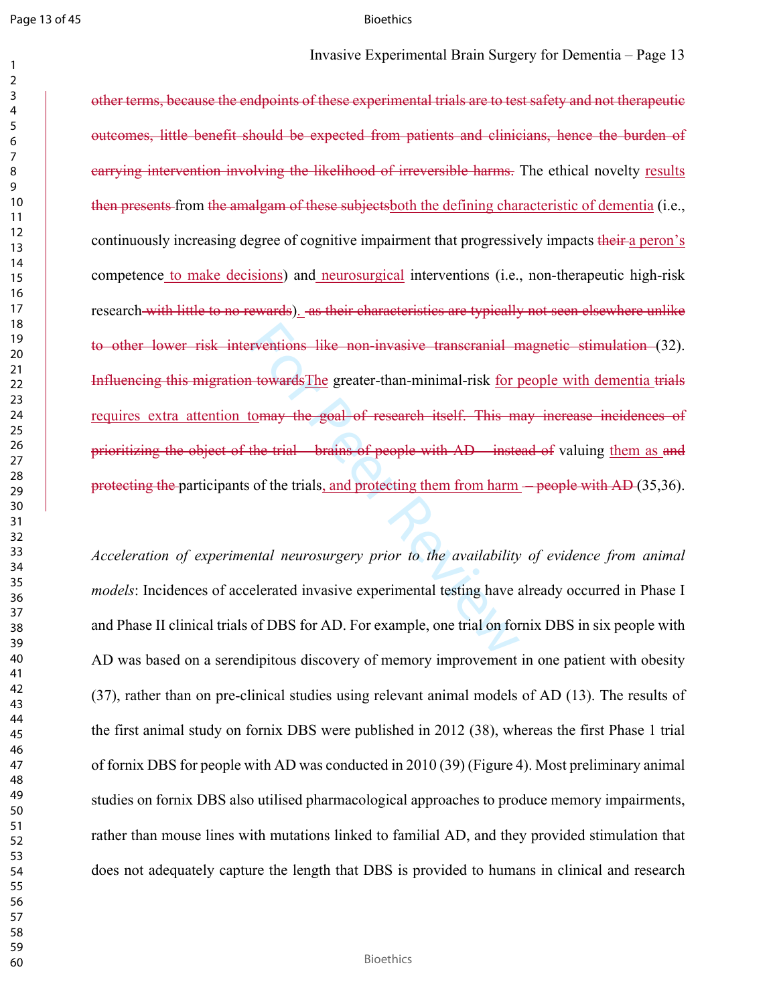#### Bioethics

rventions like non-invasive transcranial n<br>
Howards The greater-than-minimal-risk for p<br>
to the trial brains of people with AD inste<br>
of the trials, and protecting them from harm<br>
that independent interesting them from har other terms, because the endpoints of these experimental trials are to test safety and not therapeutic outcomes, little benefit should be expected from patients and clinicians, hence the burden of carrying intervention involving the likelihood of irreversible harms. The ethical novelty results then presents from the amalgam of these subjectsboth the defining characteristic of dementia (i.e., continuously increasing degree of cognitive impairment that progressively impacts their a peron's competence to make decisions) and neurosurgical interventions (i.e., non-therapeutic high-risk research with little to no rewards). as their characteristics are typically not seen elsewhere unlike to other lower risk interventions like non-invasive transcranial magnetic stimulation (32). Influencing this migration towardsThe greater-than-minimal-risk for people with dementia trials requires extra attention tomay the goal of research itself. This may increase incidences of prioritizing the object of the trial – brains of people with AD – instead of valuing them as and protecting the participants of the trials, and protecting them from harm – people with AD (35,36).

*Acceleration of experimental neurosurgery prior to the availability of evidence from animal models*: Incidences of accelerated invasive experimental testing have already occurred in Phase I and Phase II clinical trials of DBS for AD. For example, one trial on fornix DBS in six people with AD was based on a serendipitous discovery of memory improvement in one patient with obesity (37), rather than on pre-clinical studies using relevant animal models of AD (13). The results of the first animal study on fornix DBS were published in 2012 (38), whereas the first Phase 1 trial of fornix DBS for people with AD was conducted in 2010 (39) (Figure 4). Most preliminary animal studies on fornix DBS also utilised pharmacological approaches to produce memory impairments, rather than mouse lines with mutations linked to familial AD, and they provided stimulation that does not adequately capture the length that DBS is provided to humans in clinical and research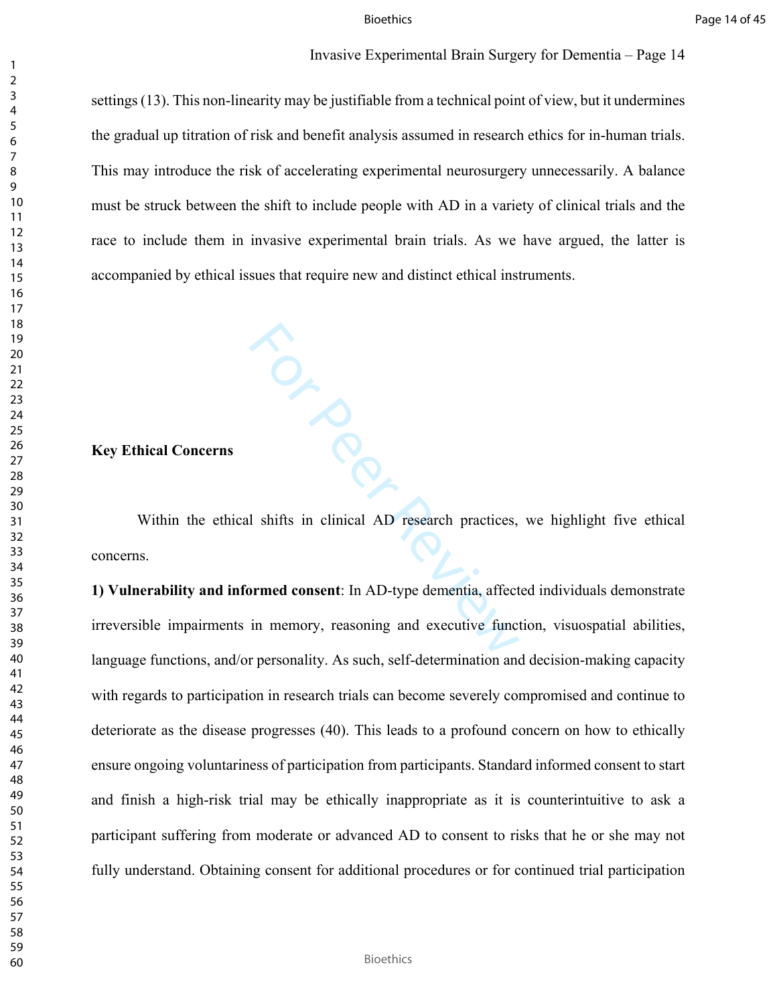#### Bioethics

Invasive Experimental Brain Surgery for Dementia – Page 14

settings (13). This non-linearity may be justifiable from a technical point of view, but it undermines the gradual up titration of risk and benefit analysis assumed in research ethics for in-human trials. This may introduce the risk of accelerating experimental neurosurgery unnecessarily. A balance must be struck between the shift to include people with AD in a variety of clinical trials and the race to include them in invasive experimental brain trials. As we have argued, the latter is accompanied by ethical issues that require new and distinct ethical instruments.

## **Key Ethical Concerns**

Within the ethical shifts in clinical AD research practices, we highlight five ethical concerns.

For Personality<br>And Shifts in clinical AD research practices,<br>primed consent: In AD-type dementia, affect<br>in memory, reasoning and executive functions **1) Vulnerability and informed consent**: In AD-type dementia, affected individuals demonstrate irreversible impairments in memory, reasoning and executive function, visuospatial abilities, language functions, and/or personality. As such, self-determination and decision-making capacity with regards to participation in research trials can become severely compromised and continue to deteriorate as the disease progresses (40). This leads to a profound concern on how to ethically ensure ongoing voluntariness of participation from participants. Standard informed consent to start and finish a high-risk trial may be ethically inappropriate as it is counterintuitive to ask a participant suffering from moderate or advanced AD to consent to risks that he or she may not fully understand. Obtaining consent for additional procedures or for continued trial participation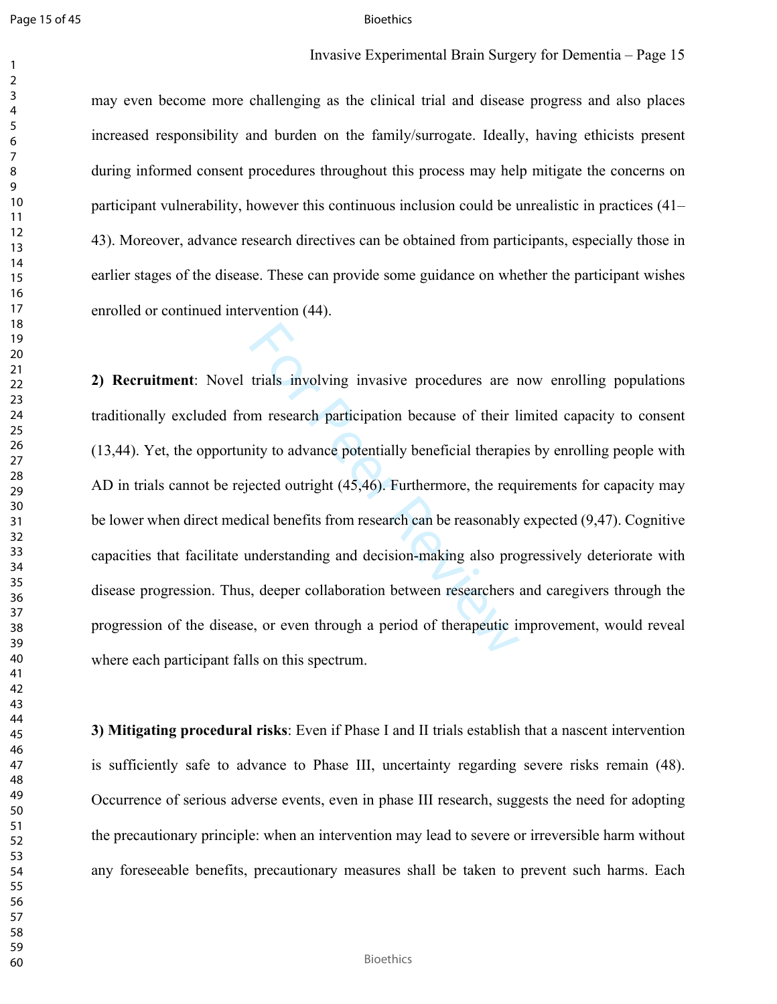#### Bioethics

may even become more challenging as the clinical trial and disease progress and also places increased responsibility and burden on the family/surrogate. Ideally, having ethicists present during informed consent procedures throughout this process may help mitigate the concerns on participant vulnerability, however this continuous inclusion could be unrealistic in practices (41– 43). Moreover, advance research directives can be obtained from participants, especially those in earlier stages of the disease. These can provide some guidance on whether the participant wishes enrolled or continued intervention (44).

trials involving invasive procedures are r<br>trials involving invasive procedures are r<br>m research participation because of their l:<br>ity to advance potentially beneficial therapic<br>ected outright (45,46). Furthermore, the req **2) Recruitment**: Novel trials involving invasive procedures are now enrolling populations traditionally excluded from research participation because of their limited capacity to consent (13,44). Yet, the opportunity to advance potentially beneficial therapies by enrolling people with AD in trials cannot be rejected outright (45,46). Furthermore, the requirements for capacity may be lower when direct medical benefits from research can be reasonably expected (9,47). Cognitive capacities that facilitate understanding and decision-making also progressively deteriorate with disease progression. Thus, deeper collaboration between researchers and caregivers through the progression of the disease, or even through a period of therapeutic improvement, would reveal where each participant falls on this spectrum.

**3) Mitigating procedural risks**: Even if Phase I and II trials establish that a nascent intervention is sufficiently safe to advance to Phase III, uncertainty regarding severe risks remain (48). Occurrence of serious adverse events, even in phase III research, suggests the need for adopting the precautionary principle: when an intervention may lead to severe or irreversible harm without any foreseeable benefits, precautionary measures shall be taken to prevent such harms. Each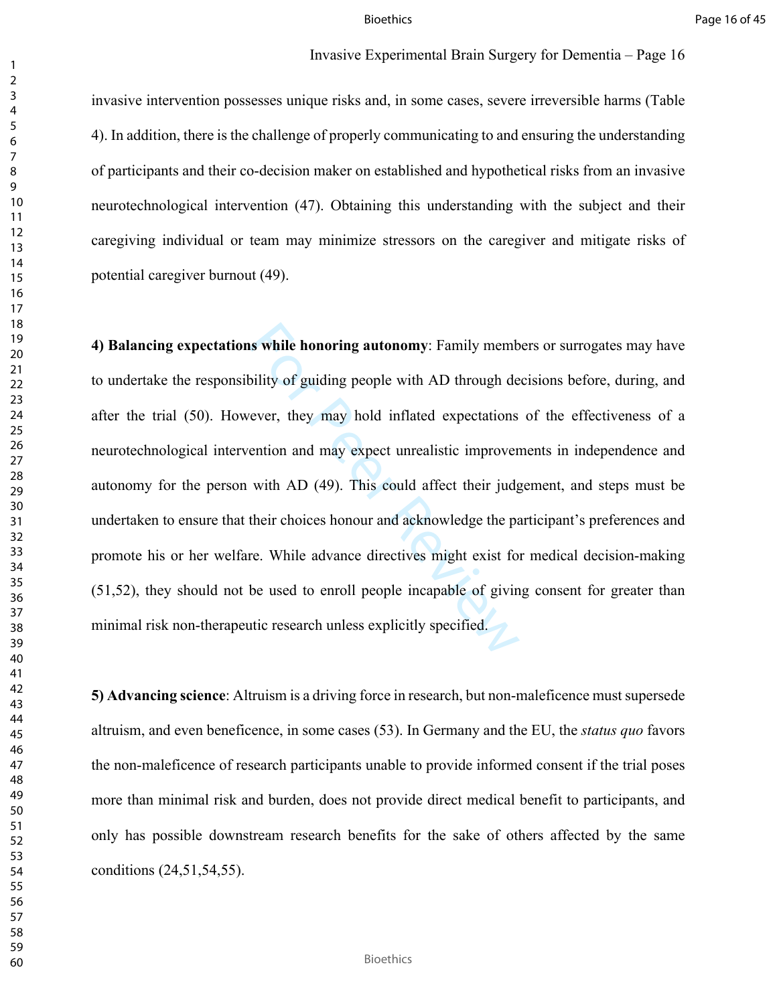#### Bioethics

Invasive Experimental Brain Surgery for Dementia – Page 16

invasive intervention possesses unique risks and, in some cases, severe irreversible harms (Table 4). In addition, there is the challenge of properly communicating to and ensuring the understanding of participants and their co-decision maker on established and hypothetical risks from an invasive neurotechnological intervention (47). Obtaining this understanding with the subject and their caregiving individual or team may minimize stressors on the caregiver and mitigate risks of potential caregiver burnout (49).

It is while honoring autonomy: Family memb<br>
bility of guiding people with AD through de<br>
ever, they may hold inflated expectations<br>
ention and may expect unrealistic improver<br>
with AD (49). This could affect their judg<br>
th **4) Balancing expectations while honoring autonomy**: Family members or surrogates may have to undertake the responsibility of guiding people with AD through decisions before, during, and after the trial (50). However, they may hold inflated expectations of the effectiveness of a neurotechnological intervention and may expect unrealistic improvements in independence and autonomy for the person with AD (49). This could affect their judgement, and steps must be undertaken to ensure that their choices honour and acknowledge the participant's preferences and promote his or her welfare. While advance directives might exist for medical decision-making (51,52), they should not be used to enroll people incapable of giving consent for greater than minimal risk non-therapeutic research unless explicitly specified.

**5) Advancing science**: Altruism is a driving force in research, but non-maleficence must supersede altruism, and even beneficence, in some cases (53). In Germany and the EU, the *status quo* favors the non-maleficence of research participants unable to provide informed consent if the trial poses more than minimal risk and burden, does not provide direct medical benefit to participants, and only has possible downstream research benefits for the sake of others affected by the same conditions (24,51,54,55).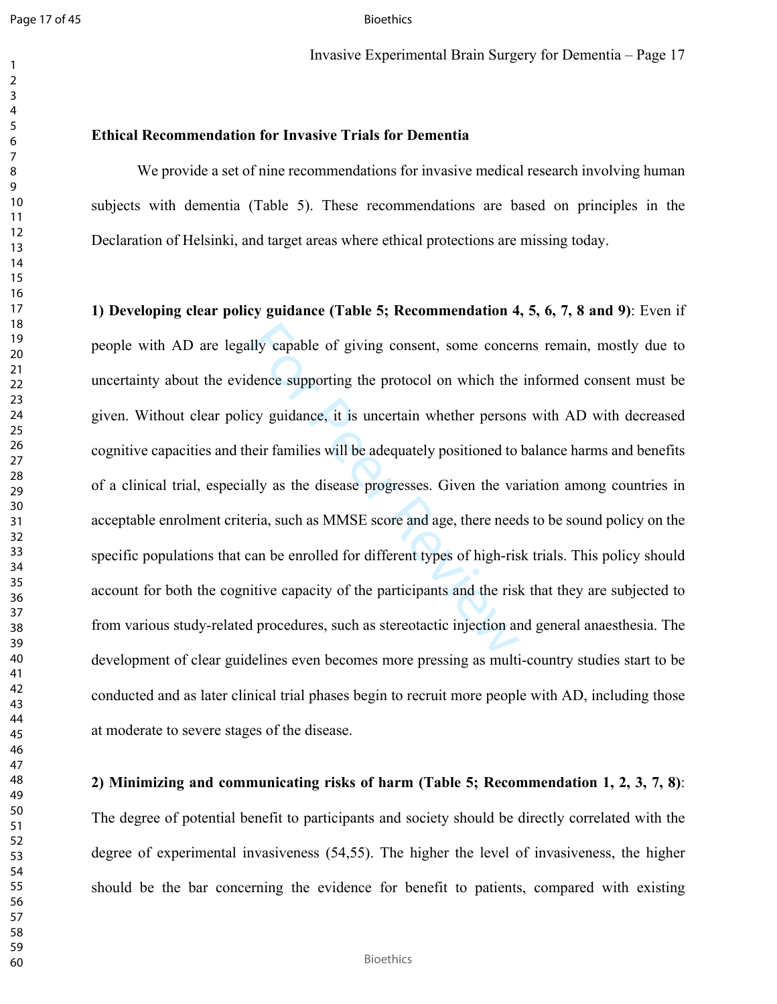#### Bioethics

## **Ethical Recommendation for Invasive Trials for Dementia**

We provide a set of nine recommendations for invasive medical research involving human subjects with dementia (Table 5). These recommendations are based on principles in the Declaration of Helsinki, and target areas where ethical protections are missing today.

Ily capable of giving consent, some conce<br>dence supporting the protocol on which the<br>cy guidance, it is uncertain whether person<br>neir families will be adequately positioned to<br>lly as the disease progresses. Given the va<br>rr **1) Developing clear policy guidance (Table 5; Recommendation 4, 5, 6, 7, 8 and 9)**: Even if people with AD are legally capable of giving consent, some concerns remain, mostly due to uncertainty about the evidence supporting the protocol on which the informed consent must be given. Without clear policy guidance, it is uncertain whether persons with AD with decreased cognitive capacities and their families will be adequately positioned to balance harms and benefits of a clinical trial, especially as the disease progresses. Given the variation among countries in acceptable enrolment criteria, such as MMSE score and age, there needs to be sound policy on the specific populations that can be enrolled for different types of high-risk trials. This policy should account for both the cognitive capacity of the participants and the risk that they are subjected to from various study-related procedures, such as stereotactic injection and general anaesthesia. The development of clear guidelines even becomes more pressing as multi-country studies start to be conducted and as later clinical trial phases begin to recruit more people with AD, including those at moderate to severe stages of the disease.

## **2) Minimizing and communicating risks of harm (Table 5; Recommendation 1, 2, 3, 7, 8)**:

The degree of potential benefit to participants and society should be directly correlated with the degree of experimental invasiveness (54,55). The higher the level of invasiveness, the higher should be the bar concerning the evidence for benefit to patients, compared with existing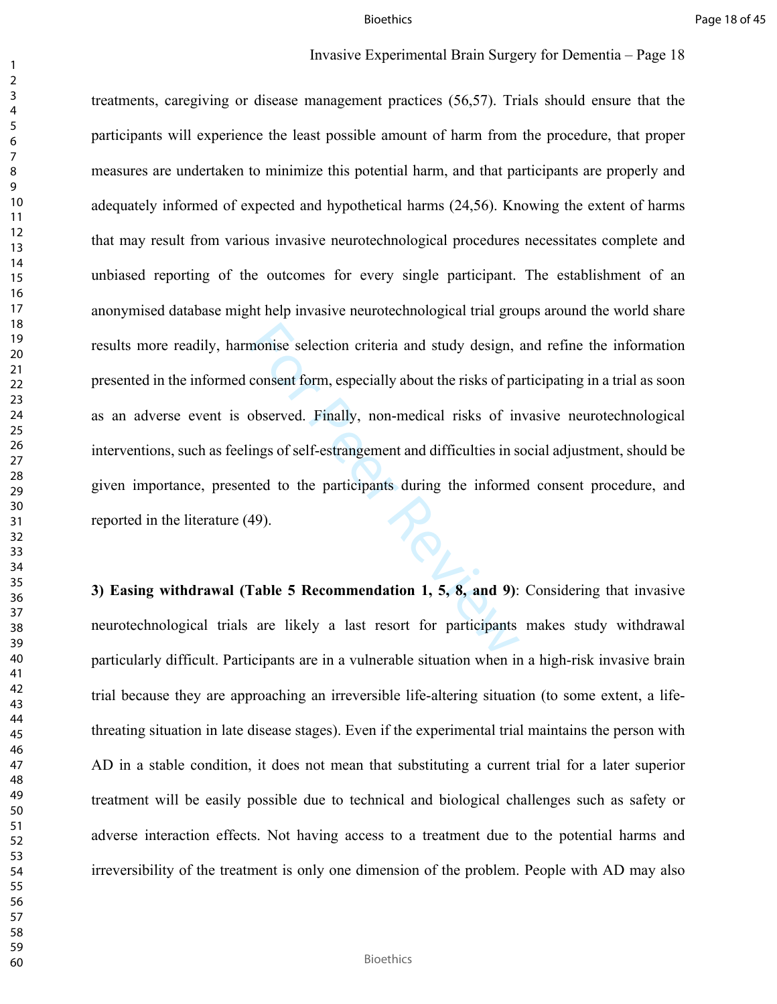monise selection criteria and study design,<br>consent form, especially about the risks of pa<br>observed. Finally, non-medical risks of in<br>ings of self-estrangement and difficulties in s<br>nted to the participants during the info treatments, caregiving or disease management practices (56,57). Trials should ensure that the participants will experience the least possible amount of harm from the procedure, that proper measures are undertaken to minimize this potential harm, and that participants are properly and adequately informed of expected and hypothetical harms (24,56). Knowing the extent of harms that may result from various invasive neurotechnological procedures necessitates complete and unbiased reporting of the outcomes for every single participant. The establishment of an anonymised database might help invasive neurotechnological trial groups around the world share results more readily, harmonise selection criteria and study design, and refine the information presented in the informed consent form, especially about the risks of participating in a trial as soon as an adverse event is observed. Finally, non-medical risks of invasive neurotechnological interventions, such as feelings of self-estrangement and difficulties in social adjustment, should be given importance, presented to the participants during the informed consent procedure, and reported in the literature (49). reported in the literature (49).

**3) Easing withdrawal (Table 5 Recommendation 1, 5, 8, and 9)**: Considering that invasive neurotechnological trials are likely a last resort for participants makes study withdrawal particularly difficult. Participants are in a vulnerable situation when in a high-risk invasive brain trial because they are approaching an irreversible life-altering situation (to some extent, a lifethreating situation in late disease stages). Even if the experimental trial maintains the person with AD in a stable condition, it does not mean that substituting a current trial for a later superior treatment will be easily possible due to technical and biological challenges such as safety or adverse interaction effects. Not having access to a treatment due to the potential harms and irreversibility of the treatment is only one dimension of the problem. People with AD may also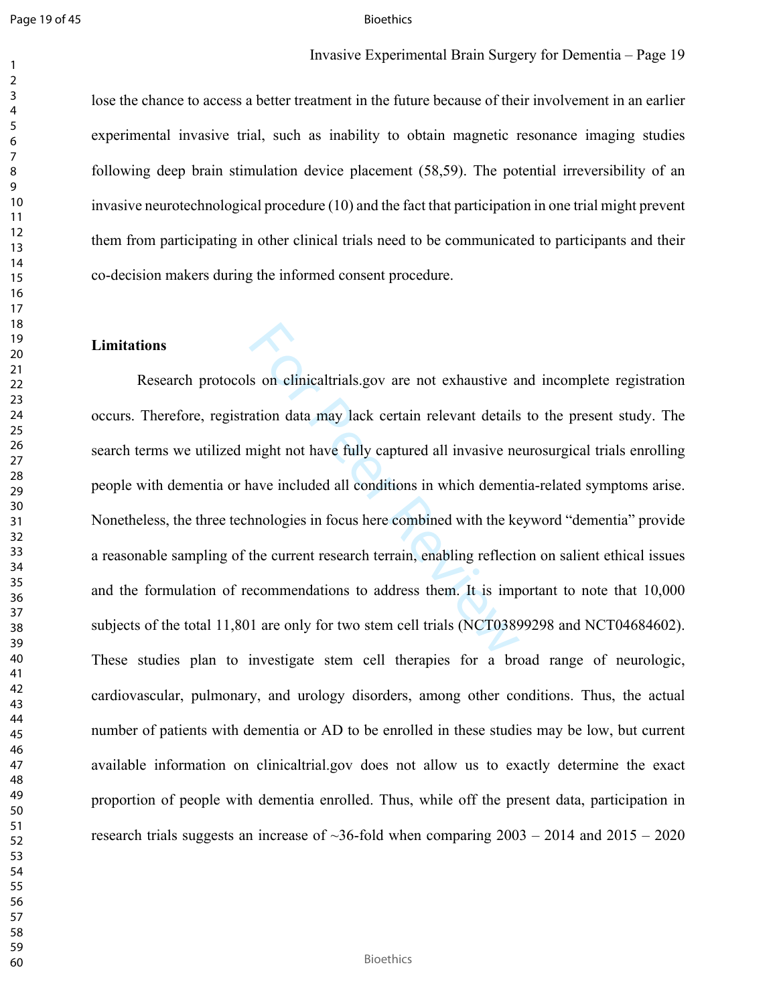#### Bioethics

lose the chance to access a better treatment in the future because of their involvement in an earlier experimental invasive trial, such as inability to obtain magnetic resonance imaging studies following deep brain stimulation device placement (58,59). The potential irreversibility of an invasive neurotechnological procedure (10) and the fact that participation in one trial might prevent them from participating in other clinical trials need to be communicated to participants and their co-decision makers during the informed consent procedure.

#### **Limitations**

s on clinicaltrials gov are not exhaustive a<br>ation data may lack certain relevant details<br>might not have fully captured all invasive ne<br>nave included all conditions in which demen<br>hnologies in focus here combined with the Research protocols on clinicaltrials.gov are not exhaustive and incomplete registration occurs. Therefore, registration data may lack certain relevant details to the present study. The search terms we utilized might not have fully captured all invasive neurosurgical trials enrolling people with dementia or have included all conditions in which dementia-related symptoms arise. Nonetheless, the three technologies in focus here combined with the keyword "dementia" provide a reasonable sampling of the current research terrain, enabling reflection on salient ethical issues and the formulation of recommendations to address them. It is important to note that 10,000 subjects of the total 11,801 are only for two stem cell trials (NCT03899298 and NCT04684602). These studies plan to investigate stem cell therapies for a broad range of neurologic, cardiovascular, pulmonary, and urology disorders, among other conditions. Thus, the actual number of patients with dementia or AD to be enrolled in these studies may be low, but current available information on clinicaltrial.gov does not allow us to exactly determine the exact proportion of people with dementia enrolled. Thus, while off the present data, participation in research trials suggests an increase of  $\sim$ 36-fold when comparing 2003 – 2014 and 2015 – 2020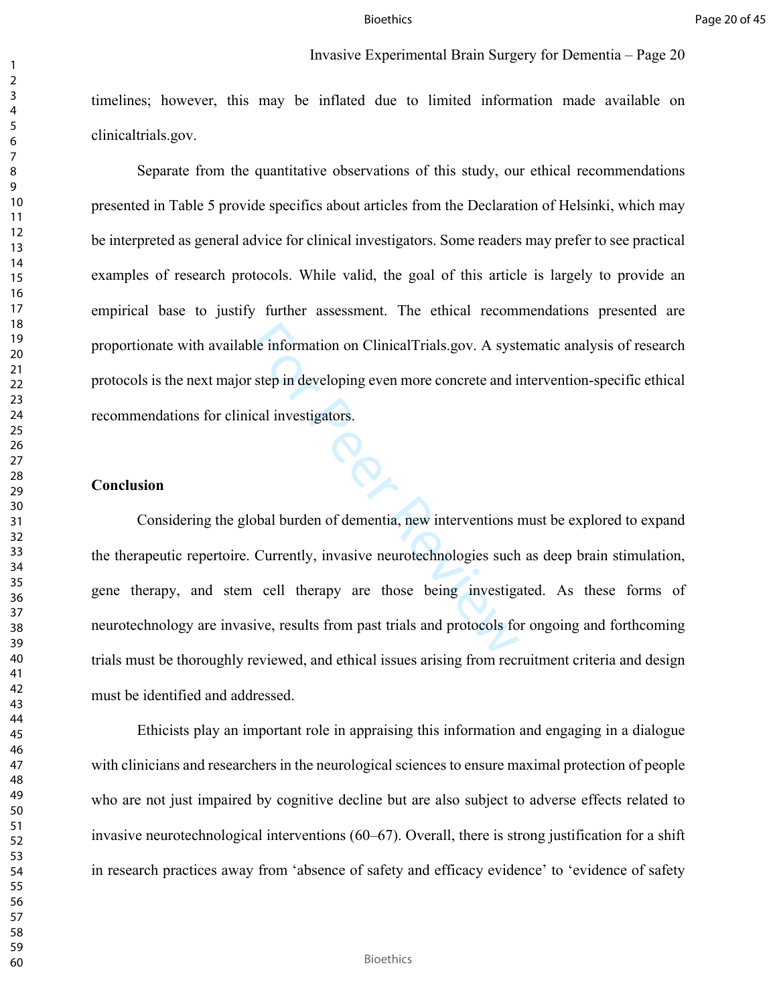timelines; however, this may be inflated due to limited information made available on clinicaltrials.gov.

Separate from the quantitative observations of this study, our ethical recommendations presented in Table 5 provide specifics about articles from the Declaration of Helsinki, which may be interpreted as general advice for clinical investigators. Some readers may prefer to see practical examples of research protocols. While valid, the goal of this article is largely to provide an empirical base to justify further assessment. The ethical recommendations presented are proportionate with available information on ClinicalTrials.gov. A systematic analysis of research protocols is the next major step in developing even more concrete and intervention-specific ethical recommendations for clinical investigators.

### **Conclusion**

ble information on ClinicalTrials.gov. A syst<br>
r step in developing even more concrete and is<br>
ical investigators.<br>
Side investigators.<br>
Side investigators<br>
Currently, invasive neurotechnologies such<br>
a cell therapy are th Considering the global burden of dementia, new interventions must be explored to expand the therapeutic repertoire. Currently, invasive neurotechnologies such as deep brain stimulation, gene therapy, and stem cell therapy are those being investigated. As these forms of neurotechnology are invasive, results from past trials and protocols for ongoing and forthcoming trials must be thoroughly reviewed, and ethical issues arising from recruitment criteria and design must be identified and addressed.

Ethicists play an important role in appraising this information and engaging in a dialogue with clinicians and researchers in the neurological sciences to ensure maximal protection of people who are not just impaired by cognitive decline but are also subject to adverse effects related to invasive neurotechnological interventions (60–67). Overall, there is strong justification for a shift in research practices away from 'absence of safety and efficacy evidence' to 'evidence of safety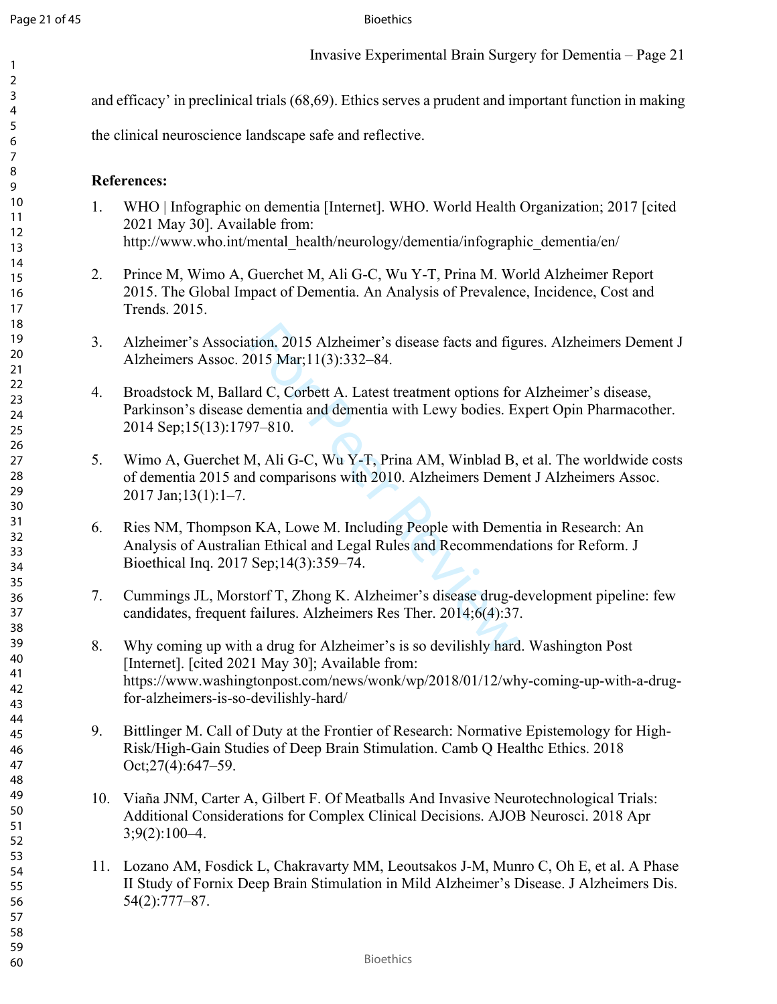Bioethics

and efficacy' in preclinical trials (68,69). Ethics serves a prudent and important function in making

the clinical neuroscience landscape safe and reflective.

## **References:**

- 1. WHO | Infographic on dementia [Internet]. WHO. World Health Organization; 2017 [cited 2021 May 30]. Available from: http://www.who.int/mental\_health/neurology/dementia/infographic\_dementia/en/
- 2. Prince M, Wimo A, Guerchet M, Ali G-C, Wu Y-T, Prina M. World Alzheimer Report 2015. The Global Impact of Dementia. An Analysis of Prevalence, Incidence, Cost and Trends. 2015.
- 3. Alzheimer's Association. 2015 Alzheimer's disease facts and figures. Alzheimers Dement J Alzheimers Assoc. 2015 Mar;11(3):332–84.
- 4. Broadstock M, Ballard C, Corbett A. Latest treatment options for Alzheimer's disease, Parkinson's disease dementia and dementia with Lewy bodies. Expert Opin Pharmacother. 2014 Sep;15(13):1797–810.
- tion. 2015 Alzheimer's disease facts and figure 015 Mar;11(3):332–84.<br>
rd C, Corbett A. Latest treatment options for<br>
dementia and dementia with Lewy bodies. E:<br>
97–810.<br>
A, Ali G-C, Wu Y-T, Prina AM, Winblad B,<br>
d compari 5. Wimo A, Guerchet M, Ali G-C, Wu Y-T, Prina AM, Winblad B, et al. The worldwide costs of dementia 2015 and comparisons with 2010. Alzheimers Dement J Alzheimers Assoc. 2017 Jan;13(1):1–7.
- 6. Ries NM, Thompson KA, Lowe M. Including People with Dementia in Research: An Analysis of Australian Ethical and Legal Rules and Recommendations for Reform. J Bioethical Inq. 2017 Sep;14(3):359–74.
- 7. Cummings JL, Morstorf T, Zhong K. Alzheimer's disease drug-development pipeline: few candidates, frequent failures. Alzheimers Res Ther. 2014;6(4):37.
- 8. Why coming up with a drug for Alzheimer's is so devilishly hard. Washington Post [Internet]. [cited 2021 May 30]; Available from: https://www.washingtonpost.com/news/wonk/wp/2018/01/12/why-coming-up-with-a-drugfor-alzheimers-is-so-devilishly-hard/
- 9. Bittlinger M. Call of Duty at the Frontier of Research: Normative Epistemology for High-Risk/High-Gain Studies of Deep Brain Stimulation. Camb Q Healthc Ethics. 2018 Oct;27(4):647–59.
- 10. Viaña JNM, Carter A, Gilbert F. Of Meatballs And Invasive Neurotechnological Trials: Additional Considerations for Complex Clinical Decisions. AJOB Neurosci. 2018 Apr 3;9(2):100–4.
- 11. Lozano AM, Fosdick L, Chakravarty MM, Leoutsakos J-M, Munro C, Oh E, et al. A Phase II Study of Fornix Deep Brain Stimulation in Mild Alzheimer's Disease. J Alzheimers Dis. 54(2):777–87.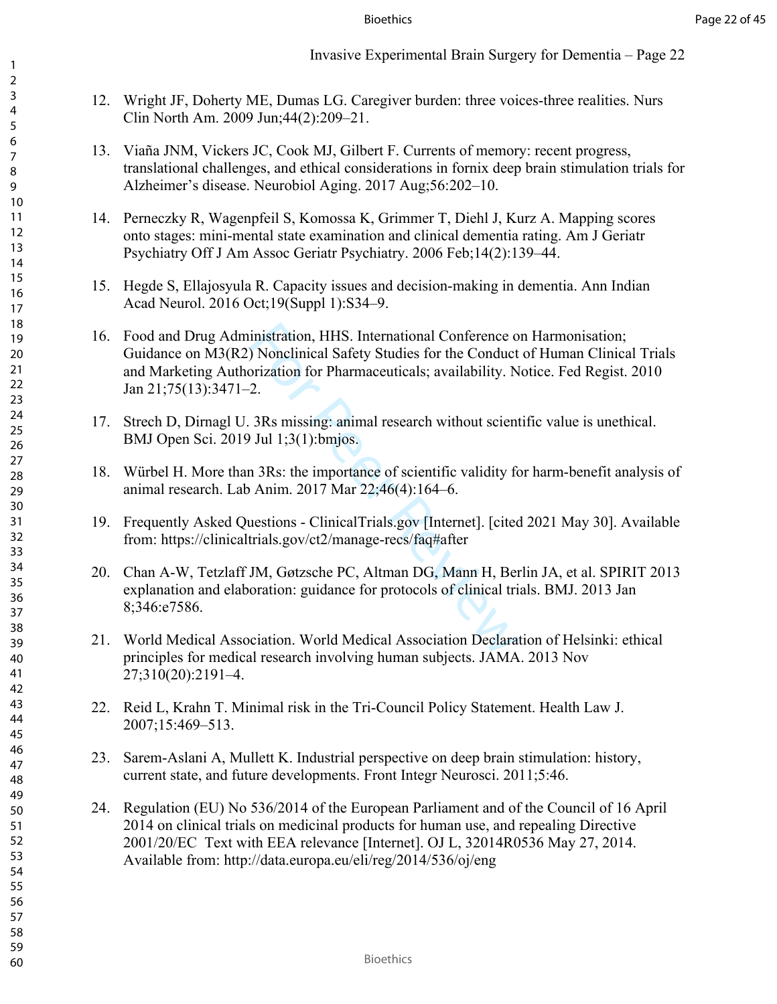- 12. Wright JF, Doherty ME, Dumas LG. Caregiver burden: three voices-three realities. Nurs Clin North Am. 2009 Jun;44(2):209–21.
- 13. Viaña JNM, Vickers JC, Cook MJ, Gilbert F. Currents of memory: recent progress, translational challenges, and ethical considerations in fornix deep brain stimulation trials for Alzheimer's disease. Neurobiol Aging. 2017 Aug;56:202–10.
- 14. Perneczky R, Wagenpfeil S, Komossa K, Grimmer T, Diehl J, Kurz A. Mapping scores onto stages: mini-mental state examination and clinical dementia rating. Am J Geriatr Psychiatry Off J Am Assoc Geriatr Psychiatry. 2006 Feb;14(2):139–44.
- 15. Hegde S, Ellajosyula R. Capacity issues and decision-making in dementia. Ann Indian Acad Neurol. 2016 Oct;19(Suppl 1):S34–9.
- inistration, HHS. International Conference of Nonclinical Safety Studies for the Conduct<br>orization for Pharmaceuticals; availability. N<br>2.<br>3Rs missing: animal research without scient<br>Jul 1;3(1):bmjos.<br>n 3Rs: the importance 16. Food and Drug Administration, HHS. International Conference on Harmonisation; Guidance on M3(R2) Nonclinical Safety Studies for the Conduct of Human Clinical Trials and Marketing Authorization for Pharmaceuticals; availability. Notice. Fed Regist. 2010 Jan 21;75(13):3471–2.
- 17. Strech D, Dirnagl U. 3Rs missing: animal research without scientific value is unethical. BMJ Open Sci. 2019 Jul 1;3(1):bmjos.
- 18. Würbel H. More than 3Rs: the importance of scientific validity for harm-benefit analysis of animal research. Lab Anim. 2017 Mar 22;46(4):164–6.
- 19. Frequently Asked Questions ClinicalTrials.gov [Internet]. [cited 2021 May 30]. Available from: https://clinicaltrials.gov/ct2/manage-recs/faq#after
- 20. Chan A-W, Tetzlaff JM, Gøtzsche PC, Altman DG, Mann H, Berlin JA, et al. SPIRIT 2013 explanation and elaboration: guidance for protocols of clinical trials. BMJ. 2013 Jan 8;346:e7586.
- 21. World Medical Association. World Medical Association Declaration of Helsinki: ethical principles for medical research involving human subjects. JAMA. 2013 Nov 27;310(20):2191–4.
- 22. Reid L, Krahn T. Minimal risk in the Tri-Council Policy Statement. Health Law J. 2007;15:469–513.
- 23. Sarem-Aslani A, Mullett K. Industrial perspective on deep brain stimulation: history, current state, and future developments. Front Integr Neurosci. 2011;5:46.
- 24. Regulation (EU) No 536/2014 of the European Parliament and of the Council of 16 April 2014 on clinical trials on medicinal products for human use, and repealing Directive 2001/20/EC Text with EEA relevance [Internet]. OJ L, 32014R0536 May 27, 2014. Available from: http://data.europa.eu/eli/reg/2014/536/oj/eng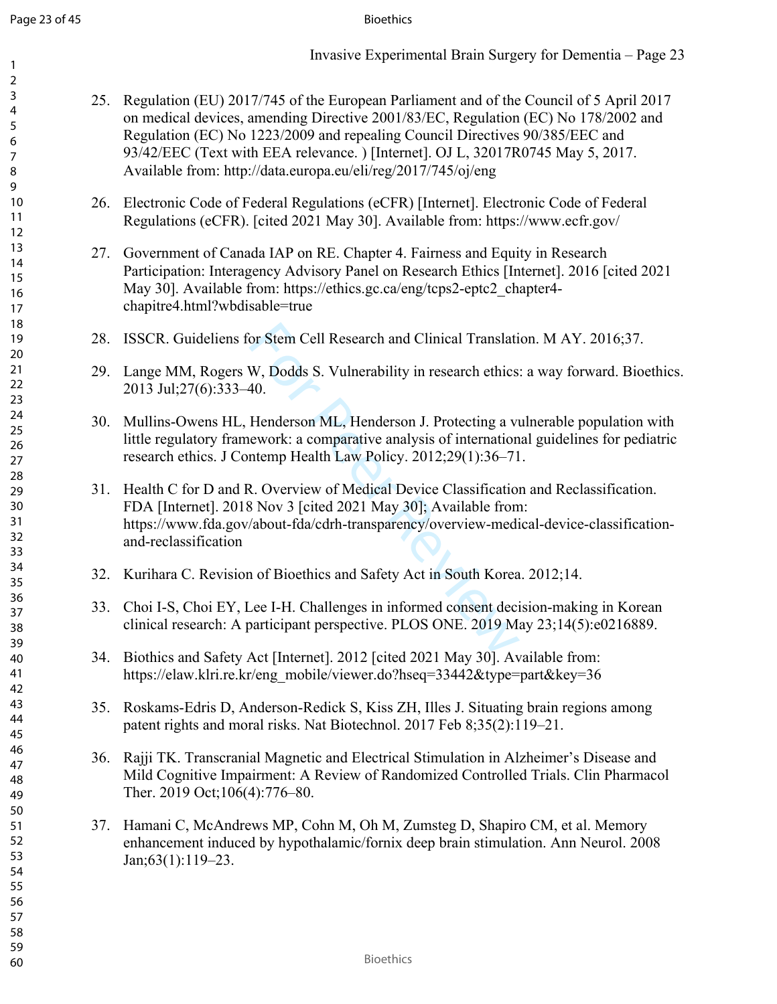| $\mathbf{1}$<br>$\overline{\mathbf{c}}$ |                                                                                                                                                                                                                                                                                                                                                                                                                     |
|-----------------------------------------|---------------------------------------------------------------------------------------------------------------------------------------------------------------------------------------------------------------------------------------------------------------------------------------------------------------------------------------------------------------------------------------------------------------------|
| 3<br>4<br>5<br>6<br>7<br>8<br>9         | 25. Regulation (EU) 2017/745 of the European Parliament and of the Council of 5 April 2017<br>on medical devices, amending Directive 2001/83/EC, Regulation (EC) No 178/2002 and<br>Regulation (EC) No 1223/2009 and repealing Council Directives 90/385/EEC and<br>93/42/EEC (Text with EEA relevance.) [Internet]. OJ L, 32017R0745 May 5, 2017.<br>Available from: http://data.europa.eu/eli/reg/2017/745/oj/eng |
| 10<br>11<br>12                          | 26. Electronic Code of Federal Regulations (eCFR) [Internet]. Electronic Code of Federal<br>Regulations (eCFR). [cited 2021 May 30]. Available from: https://www.ecfr.gov/                                                                                                                                                                                                                                          |
| 27.                                     | Government of Canada IAP on RE. Chapter 4. Fairness and Equity in Research<br>Participation: Interagency Advisory Panel on Research Ethics [Internet]. 2016 [cited 2021]<br>May 30]. Available from: https://ethics.gc.ca/eng/tcps2-eptc2_chapter4-<br>chapitre4.html?wbdisable=true                                                                                                                                |
| 18<br>19                                | 28. ISSCR. Guideliens for Stem Cell Research and Clinical Translation. M AY. 2016;37.                                                                                                                                                                                                                                                                                                                               |
| 20<br>21<br>22                          | 29. Lange MM, Rogers W, Dodds S. Vulnerability in research ethics: a way forward. Bioethics.<br>2013 Jul; 27(6): 333–40.                                                                                                                                                                                                                                                                                            |
| 23<br>24<br>25<br>26<br>27<br>28        | 30. Mullins-Owens HL, Henderson ML, Henderson J. Protecting a vulnerable population with<br>little regulatory framework: a comparative analysis of international guidelines for pediatric<br>research ethics. J Contemp Health Law Policy. 2012;29(1):36–71.                                                                                                                                                        |
| 29<br>30<br>31<br>32<br>33              | 31. Health C for D and R. Overview of Medical Device Classification and Reclassification.<br>FDA [Internet]. 2018 Nov 3 [cited 2021 May 30]; Available from:<br>https://www.fda.gov/about-fda/cdrh-transparency/overview-medical-device-classification-<br>and-reclassification                                                                                                                                     |
| 32.                                     | Kurihara C. Revision of Bioethics and Safety Act in South Korea. 2012;14.                                                                                                                                                                                                                                                                                                                                           |
|                                         | 33. Choi I-S, Choi EY, Lee I-H. Challenges in informed consent decision-making in Korean<br>clinical research: A participant perspective. PLOS ONE. 2019 May 23;14(5):e0216889.                                                                                                                                                                                                                                     |
| 34.                                     | Biothics and Safety Act [Internet]. 2012 [cited 2021 May 30]. Available from:<br>https://elaw.klri.re.kr/eng_mobile/viewer.do?hseq=33442&type=part&key=36                                                                                                                                                                                                                                                           |
| 42<br>43<br>44<br>45                    | 35. Roskams-Edris D, Anderson-Redick S, Kiss ZH, Illes J. Situating brain regions among<br>patent rights and moral risks. Nat Biotechnol. 2017 Feb 8;35(2):119-21.                                                                                                                                                                                                                                                  |
| 46<br>36.<br>47<br>48<br>49             | Rajji TK. Transcranial Magnetic and Electrical Stimulation in Alzheimer's Disease and<br>Mild Cognitive Impairment: A Review of Randomized Controlled Trials. Clin Pharmacol<br>Ther. 2019 Oct; 106(4): 776–80.                                                                                                                                                                                                     |
| 50<br>51<br>37.<br>52<br>53<br>54       | Hamani C, McAndrews MP, Cohn M, Oh M, Zumsteg D, Shapiro CM, et al. Memory<br>enhancement induced by hypothalamic/fornix deep brain stimulation. Ann Neurol. 2008<br>$Jan; 63(1): 119-23.$                                                                                                                                                                                                                          |
| 55<br>56<br>57<br>58                    |                                                                                                                                                                                                                                                                                                                                                                                                                     |
| 59<br>60                                | Bioethics                                                                                                                                                                                                                                                                                                                                                                                                           |
|                                         |                                                                                                                                                                                                                                                                                                                                                                                                                     |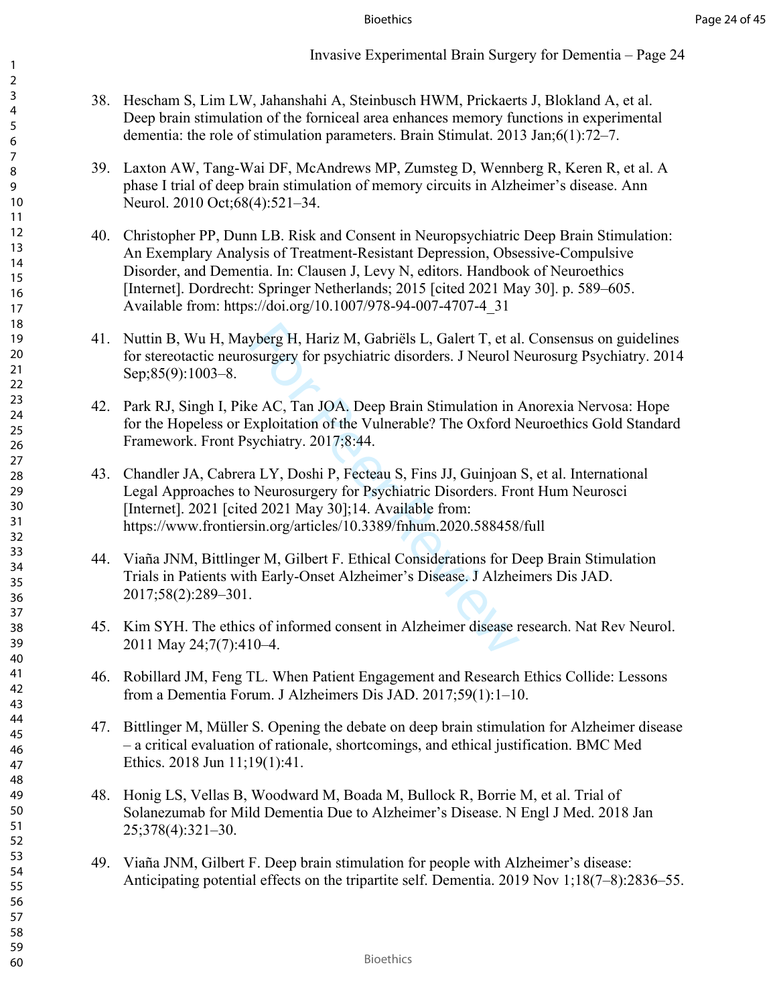- 38. Hescham S, Lim LW, Jahanshahi A, Steinbusch HWM, Prickaerts J, Blokland A, et al. Deep brain stimulation of the forniceal area enhances memory functions in experimental dementia: the role of stimulation parameters. Brain Stimulat. 2013 Jan;6(1):72–7.
- 39. Laxton AW, Tang-Wai DF, McAndrews MP, Zumsteg D, Wennberg R, Keren R, et al. A phase I trial of deep brain stimulation of memory circuits in Alzheimer's disease. Ann Neurol. 2010 Oct;68(4):521–34.
- 40. Christopher PP, Dunn LB. Risk and Consent in Neuropsychiatric Deep Brain Stimulation: An Exemplary Analysis of Treatment-Resistant Depression, Obsessive-Compulsive Disorder, and Dementia. In: Clausen J, Levy N, editors. Handbook of Neuroethics [Internet]. Dordrecht: Springer Netherlands; 2015 [cited 2021 May 30]. p. 589–605. Available from: https://doi.org/10.1007/978-94-007-4707-4\_31
- 41. Nuttin B, Wu H, Mayberg H, Hariz M, Gabriëls L, Galert T, et al. Consensus on guidelines for stereotactic neurosurgery for psychiatric disorders. J Neurol Neurosurg Psychiatry. 2014 Sep;85(9):1003–8.
- 42. Park RJ, Singh I, Pike AC, Tan JOA. Deep Brain Stimulation in Anorexia Nervosa: Hope for the Hopeless or Exploitation of the Vulnerable? The Oxford Neuroethics Gold Standard Framework. Front Psychiatry. 2017;8:44.
- yberg H, Hariz M, Gabriëls L, Galert T, et al<br>
surgery for psychiatric disorders. J Neurol N<br>
ee AC, Tan JOA. Deep Brain Stimulation in A<br>
sychiatry. 2017;8:44.<br>
a LY, Doshi P, Fecteau S, Fins JJ, Guinjoan<br>
Neurosurgery fo 43. Chandler JA, Cabrera LY, Doshi P, Fecteau S, Fins JJ, Guinjoan S, et al. International Legal Approaches to Neurosurgery for Psychiatric Disorders. Front Hum Neurosci [Internet]. 2021 [cited 2021 May 30];14. Available from: https://www.frontiersin.org/articles/10.3389/fnhum.2020.588458/full
- 44. Viaña JNM, Bittlinger M, Gilbert F. Ethical Considerations for Deep Brain Stimulation Trials in Patients with Early-Onset Alzheimer's Disease. J Alzheimers Dis JAD. 2017;58(2):289–301.
- 45. Kim SYH. The ethics of informed consent in Alzheimer disease research. Nat Rev Neurol. 2011 May 24;7(7):410–4.
- 46. Robillard JM, Feng TL. When Patient Engagement and Research Ethics Collide: Lessons from a Dementia Forum. J Alzheimers Dis JAD. 2017;59(1):1–10.
- 47. Bittlinger M, Müller S. Opening the debate on deep brain stimulation for Alzheimer disease – a critical evaluation of rationale, shortcomings, and ethical justification. BMC Med Ethics. 2018 Jun 11;19(1):41.
- 48. Honig LS, Vellas B, Woodward M, Boada M, Bullock R, Borrie M, et al. Trial of Solanezumab for Mild Dementia Due to Alzheimer's Disease. N Engl J Med. 2018 Jan 25;378(4):321–30.
- 49. Viaña JNM, Gilbert F. Deep brain stimulation for people with Alzheimer's disease: Anticipating potential effects on the tripartite self. Dementia. 2019 Nov 1;18(7–8):2836–55.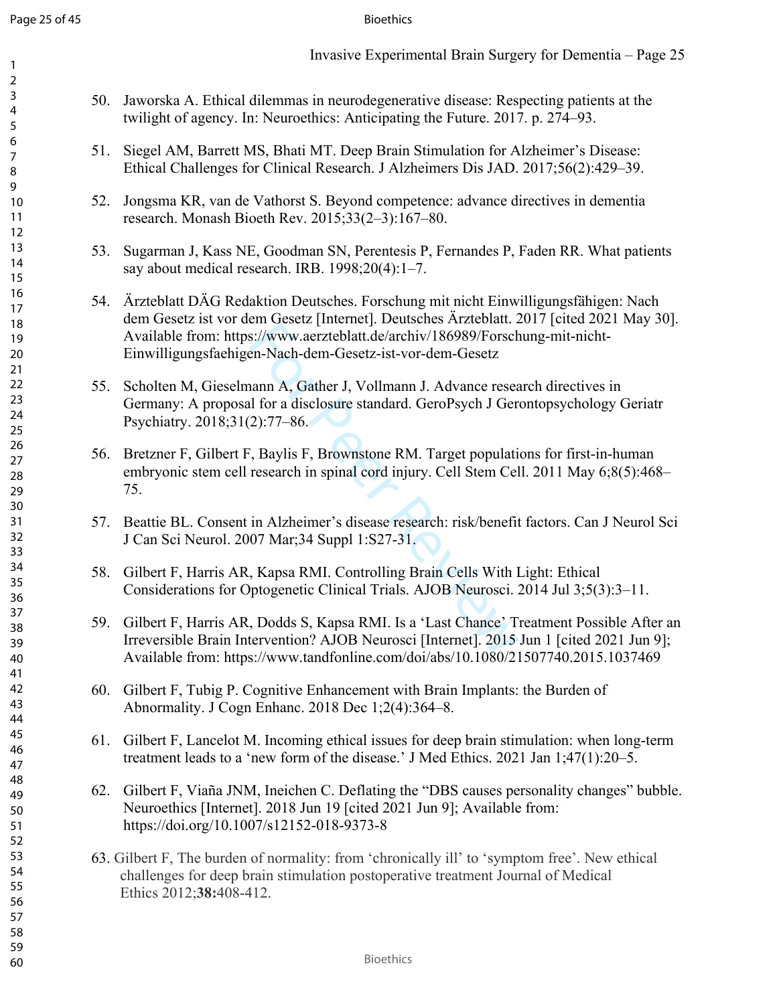10 11

14 15

17

19

21

23 24 25

27

29

31 32 33

35 36 37

39

41

51

53

55

En-Nach-dem-Gesetz-ist-vor-dem-Gesetz-ist-vor-dem-Gesetz-ist-vor-dem-Gesetz-<br>
En-Nach-dem-Gesetz-ist-vor-dem-Gesetz<br>
nann A, Gather J, Vollmann J. Advance resear<br>
ann A, Gather J, Vollmann J. Advance resear<br>
1 for a disclo 50. Jaworska A. Ethical dilemmas in neurodegenerative disease: Respecting patients at the twilight of agency. In: Neuroethics: Anticipating the Future. 2017. p. 274–93. 51. Siegel AM, Barrett MS, Bhati MT. Deep Brain Stimulation for Alzheimer's Disease: Ethical Challenges for Clinical Research. J Alzheimers Dis JAD. 2017;56(2):429–39. 52. Jongsma KR, van de Vathorst S. Beyond competence: advance directives in dementia research. Monash Bioeth Rev. 2015;33(2–3):167–80. 53. Sugarman J, Kass NE, Goodman SN, Perentesis P, Fernandes P, Faden RR. What patients say about medical research. IRB. 1998;20(4):1–7. 54. Ärzteblatt DÄG Redaktion Deutsches. Forschung mit nicht Einwilligungsfähigen: Nach dem Gesetz ist vor dem Gesetz [Internet]. Deutsches Ärzteblatt. 2017 [cited 2021 May 30]. Available from: https://www.aerzteblatt.de/archiv/186989/Forschung-mit-nicht-Einwilligungsfaehigen-Nach-dem-Gesetz-ist-vor-dem-Gesetz 55. Scholten M, Gieselmann A, Gather J, Vollmann J. Advance research directives in Germany: A proposal for a disclosure standard. GeroPsych J Gerontopsychology Geriatr Psychiatry. 2018;31(2):77–86. 56. Bretzner F, Gilbert F, Baylis F, Brownstone RM. Target populations for first-in-human embryonic stem cell research in spinal cord injury. Cell Stem Cell. 2011 May 6;8(5):468– 75. 57. Beattie BL. Consent in Alzheimer's disease research: risk/benefit factors. Can J Neurol Sci J Can Sci Neurol. 2007 Mar;34 Suppl 1:S27-31. 58. Gilbert F, Harris AR, Kapsa RMI. Controlling Brain Cells With Light: Ethical Considerations for Optogenetic Clinical Trials. AJOB Neurosci. 2014 Jul 3;5(3):3–11. 59. Gilbert F, Harris AR, Dodds S, Kapsa RMI. Is a 'Last Chance' Treatment Possible After an Irreversible Brain Intervention? AJOB Neurosci [Internet]. 2015 Jun 1 [cited 2021 Jun 9]; Available from: https://www.tandfonline.com/doi/abs/10.1080/21507740.2015.1037469 60. Gilbert F, Tubig P. Cognitive Enhancement with Brain Implants: the Burden of Abnormality. J Cogn Enhanc. 2018 Dec 1;2(4):364–8. 61. Gilbert F, Lancelot M. Incoming ethical issues for deep brain stimulation: when long-term treatment leads to a 'new form of the disease.' J Med Ethics. 2021 Jan 1;47(1):20–5. 62. Gilbert F, Viaña JNM, Ineichen C. Deflating the "DBS causes personality changes" bubble. Neuroethics [Internet]. 2018 Jun 19 [cited 2021 Jun 9]; Available from: https://doi.org/10.1007/s12152-018-9373-8 63. Gilbert F, The burden of normality: from 'chronically ill' to 'symptom free'. New ethical challenges for deep brain stimulation postoperative treatment Journal of Medical Ethics 2012;**38:**408-412. 12 13 16 18 20 22 26 28 30 34 38 40 42 50 52 54 56 57 58 59 60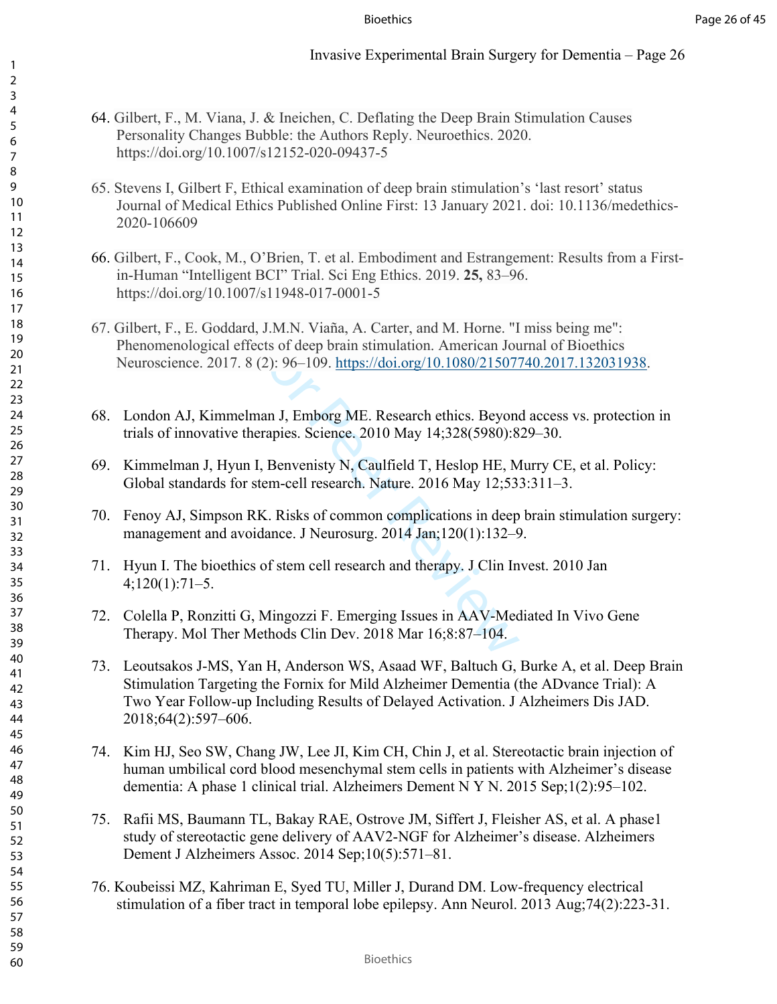- 64. Gilbert, F., M. Viana, J. & Ineichen, C. Deflating the Deep Brain Stimulation Causes Personality Changes Bubble: the Authors Reply. Neuroethics. 2020. https://doi.org/10.1007/s12152-020-09437-5
- 65. Stevens I, Gilbert F, Ethical examination of deep brain stimulation's 'last resort' status Journal of Medical Ethics Published Online First: 13 January 2021. doi: 10.1136/medethics-2020-106609
- 66. Gilbert, F., Cook, M., O'Brien, T. et al. Embodiment and Estrangement: Results from a Firstin-Human "Intelligent BCI" Trial. Sci Eng Ethics. 2019. **25,** 83–96. https://doi.org/10.1007/s11948-017-0001-5
- d, J.M.N. Viaña, A. Carter, and M. Horne. "I<br>
Fects of deep brain stimulation. American Jou<br>
8 (2): 96–109. https://doi.org/10.1080/215077<br>
man J, Emborg ME. Research ethics. Beyon<br>
nerapies. Science. 2010 May 14;328(5980) 67. Gilbert, F., E. Goddard, J.M.N. Viaña, A. Carter, and M. Horne. "I miss being me": Phenomenological effects of deep brain stimulation. American Journal of Bioethics Neuroscience. 2017. 8 (2): 96–109. [https://doi.org/10.1080/21507740.2017.132031938.](https://doi.org/10.1080/21507740.2017.132031938)
- 68. London AJ, Kimmelman J, Emborg ME. Research ethics. Beyond access vs. protection in trials of innovative therapies. Science. 2010 May 14;328(5980):829–30.
- 69. Kimmelman J, Hyun I, Benvenisty N, Caulfield T, Heslop HE, Murry CE, et al. Policy: Global standards for stem-cell research. Nature. 2016 May 12;533:311–3.
- 70. Fenoy AJ, Simpson RK. Risks of common complications in deep brain stimulation surgery: management and avoidance. J Neurosurg. 2014 Jan; 120(1): 132–9.
- 71. Hyun I. The bioethics of stem cell research and therapy. J Clin Invest. 2010 Jan 4;120(1):71–5.
- 72. Colella P, Ronzitti G, Mingozzi F. Emerging Issues in AAV-Mediated In Vivo Gene Therapy. Mol Ther Methods Clin Dev. 2018 Mar 16;8:87–104.
- 73. Leoutsakos J-MS, Yan H, Anderson WS, Asaad WF, Baltuch G, Burke A, et al. Deep Brain Stimulation Targeting the Fornix for Mild Alzheimer Dementia (the ADvance Trial): A Two Year Follow-up Including Results of Delayed Activation. J Alzheimers Dis JAD. 2018;64(2):597–606.
- 74. Kim HJ, Seo SW, Chang JW, Lee JI, Kim CH, Chin J, et al. Stereotactic brain injection of human umbilical cord blood mesenchymal stem cells in patients with Alzheimer's disease dementia: A phase 1 clinical trial. Alzheimers Dement N Y N. 2015 Sep;1(2):95–102.
- 75. Rafii MS, Baumann TL, Bakay RAE, Ostrove JM, Siffert J, Fleisher AS, et al. A phase1 study of stereotactic gene delivery of AAV2-NGF for Alzheimer's disease. Alzheimers Dement J Alzheimers Assoc. 2014 Sep;10(5):571–81.
- 76. Koubeissi MZ, Kahriman E, Syed TU, Miller J, Durand DM. Low-frequency electrical stimulation of a fiber tract in temporal lobe epilepsy. Ann Neurol. 2013 Aug;74(2):223-31.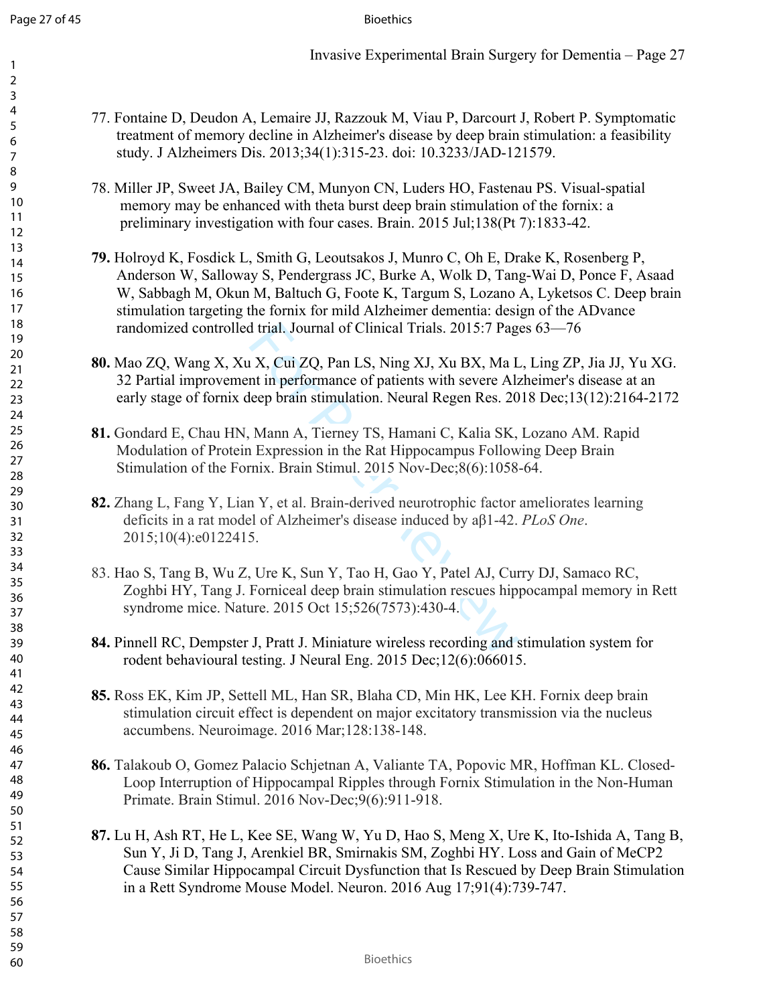Bioethics

- 77. Fontaine D, Deudon A, Lemaire JJ, Razzouk M, Viau P, Darcourt J, Robert P. Symptomatic treatment of memory decline in Alzheimer's disease by deep brain stimulation: a feasibility study. J Alzheimers Dis. 2013;34(1):315-23. doi: 10.3233/JAD-121579.
- 78. Miller JP, Sweet JA, Bailey CM, Munyon CN, Luders HO, Fastenau PS. Visual-spatial memory may be enhanced with theta burst deep brain stimulation of the fornix: a preliminary investigation with four cases. Brain. 2015 Jul;138(Pt 7):1833-42.
- **79.** Holroyd K, Fosdick L, Smith G, Leoutsakos J, Munro C, Oh E, Drake K, Rosenberg P, Anderson W, Salloway S, Pendergrass JC, Burke A, Wolk D, Tang-Wai D, Ponce F, Asaad W, Sabbagh M, Okun M, Baltuch G, Foote K, Targum S, Lozano A, Lyketsos C. Deep brain stimulation targeting the fornix for mild Alzheimer dementia: design of the ADvance randomized controlled trial. Journal of Clinical Trials. 2015:7 Pages 63—76
- **80.** Mao ZQ, Wang X, Xu X, Cui ZQ, Pan LS, Ning XJ, Xu BX, Ma L, Ling ZP, Jia JJ, Yu XG. 32 Partial improvement in performance of patients with severe Alzheimer's disease at an early stage of fornix deep brain stimulation. Neural Regen Res. 2018 Dec;13(12):2164-2172
- **81.** Gondard E, Chau HN, Mann A, Tierney TS, Hamani C, Kalia SK, Lozano AM. Rapid Modulation of Protein Expression in the Rat Hippocampus Following Deep Brain Stimulation of the Fornix. Brain Stimul. 2015 Nov-Dec;8(6):1058-64.
- **82.** Zhang L, Fang Y, Lian Y, et al. Brain-derived neurotrophic factor ameliorates learning deficits in a rat model of Alzheimer's disease induced by aβ1-42. *PLoS One*. 2015;10(4):e0122415.
- d trial. Journal of Clinical Trials. 2015:7 Page<br>
1 X, Cui ZQ, Pan LS, Ning XJ, Xu BX, Ma L<br>
1 in performance of patients with severe Alz<br>
leep brain stimulation. Neural Regen Res. 20<br>
Mann A, Tierney TS, Hamani C, Kalia 83. Hao S, Tang B, Wu Z, Ure K, Sun Y, Tao H, Gao Y, Patel AJ, Curry DJ, Samaco RC, Zoghbi HY, Tang J. Forniceal deep brain stimulation rescues hippocampal memory in Rett syndrome mice. Nature. 2015 Oct 15;526(7573):430-4.
- **84.** Pinnell RC, Dempster J, Pratt J. Miniature wireless recording and stimulation system for rodent behavioural testing. J Neural Eng. 2015 Dec;12(6):066015.
- **85.** Ross EK, Kim JP, Settell ML, Han SR, Blaha CD, Min HK, Lee KH. Fornix deep brain stimulation circuit effect is dependent on major excitatory transmission via the nucleus accumbens. Neuroimage. 2016 Mar;128:138-148.
- **86.** Talakoub O, Gomez Palacio Schjetnan A, Valiante TA, Popovic MR, Hoffman KL. Closed-Loop Interruption of Hippocampal Ripples through Fornix Stimulation in the Non-Human Primate. Brain Stimul. 2016 Nov-Dec;9(6):911-918.
- **87.** Lu H, Ash RT, He L, Kee SE, Wang W, Yu D, Hao S, Meng X, Ure K, Ito-Ishida A, Tang B, Sun Y, Ji D, Tang J, Arenkiel BR, Smirnakis SM, Zoghbi HY. Loss and Gain of MeCP2 Cause Similar Hippocampal Circuit Dysfunction that Is Rescued by Deep Brain Stimulation in a Rett Syndrome Mouse Model. Neuron. 2016 Aug 17;91(4):739-747.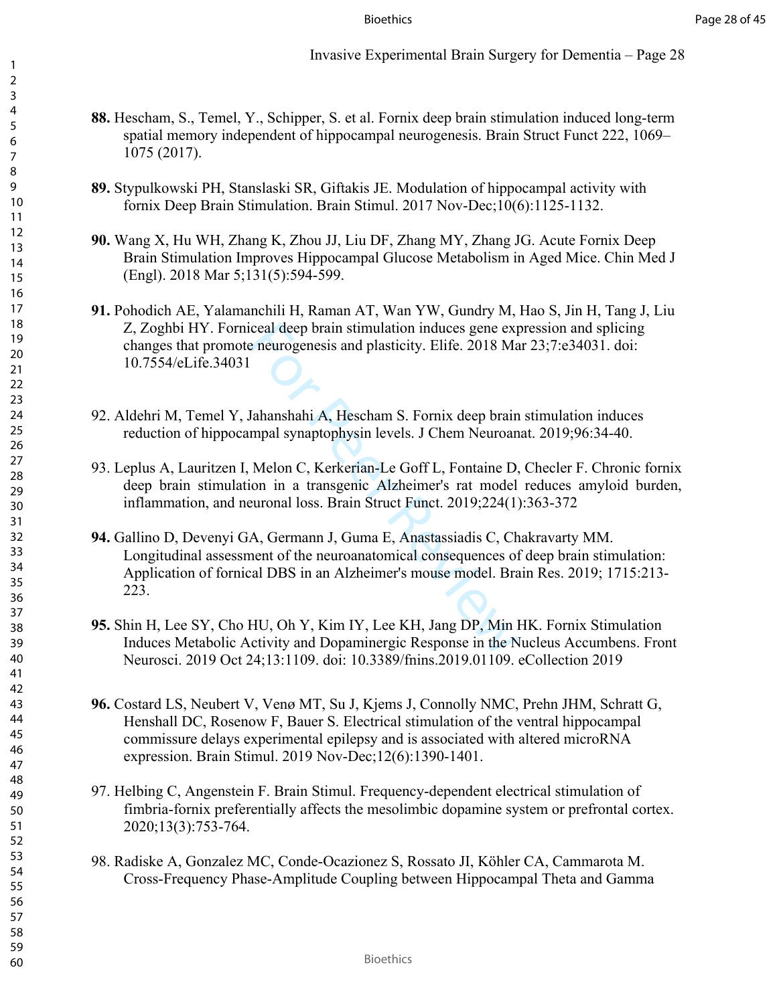- **88.** Hescham, S., Temel, Y., Schipper, S. et al. Fornix deep brain stimulation induced long-term spatial memory independent of hippocampal neurogenesis. Brain Struct Funct 222, 1069– 1075 (2017).
- **89.** Stypulkowski PH, Stanslaski SR, Giftakis JE. Modulation of hippocampal activity with fornix Deep Brain Stimulation. Brain Stimul. 2017 Nov-Dec;10(6):1125-1132.
- **90.** Wang X, Hu WH, Zhang K, Zhou JJ, Liu DF, Zhang MY, Zhang JG. Acute Fornix Deep Brain Stimulation Improves Hippocampal Glucose Metabolism in Aged Mice. Chin Med J (Engl). 2018 Mar 5;131(5):594-599.
- **91.** Pohodich AE, Yalamanchili H, Raman AT, Wan YW, Gundry M, Hao S, Jin H, Tang J, Liu Z, Zoghbi HY. Forniceal deep brain stimulation induces gene expression and splicing changes that promote neurogenesis and plasticity. Elife. 2018 Mar 23;7:e34031. doi: 10.7554/eLife.34031
- 92. Aldehri M, Temel Y, Jahanshahi A, Hescham S. Fornix deep brain stimulation induces reduction of hippocampal synaptophysin levels. J Chem Neuroanat. 2019;96:34-40.
- 93. Leplus A, Lauritzen I, Melon C, Kerkerian-Le Goff L, Fontaine D, Checler F. Chronic fornix deep brain stimulation in a transgenic Alzheimer's rat model reduces amyloid burden, inflammation, and neuronal loss. Brain Struct Funct. 2019;224(1):363-372
- iceal deep brain stimulation induces gene experiences<br>
Eneurogenesis and plasticity. Elife. 2018 Ma<br>
Jahanshahi A, Hescham S. Fornix deep brain<br>
mpal synaptophysin levels. J Chem Neuroan<br>
Melon C, Kerkerian-Le Goff L, Font **94.** Gallino D, Devenyi GA, Germann J, Guma E, Anastassiadis C, Chakravarty MM. Longitudinal assessment of the neuroanatomical consequences of deep brain stimulation: Application of fornical DBS in an Alzheimer's mouse model. Brain Res. 2019; 1715:213- 223.
- **95.** Shin H, Lee SY, Cho HU, Oh Y, Kim IY, Lee KH, Jang DP, Min HK. Fornix Stimulation Induces Metabolic Activity and Dopaminergic Response in the Nucleus Accumbens. Front Neurosci. 2019 Oct 24;13:1109. doi: 10.3389/fnins.2019.01109. eCollection 2019
- **96.** Costard LS, Neubert V, Venø MT, Su J, Kjems J, Connolly NMC, Prehn JHM, Schratt G, Henshall DC, Rosenow F, Bauer S. Electrical stimulation of the ventral hippocampal commissure delays experimental epilepsy and is associated with altered microRNA expression. Brain Stimul. 2019 Nov-Dec;12(6):1390-1401.
- 97. Helbing C, Angenstein F. Brain Stimul. Frequency-dependent electrical stimulation of fimbria-fornix preferentially affects the mesolimbic dopamine system or prefrontal cortex. 2020;13(3):753-764.
- 98. Radiske A, Gonzalez MC, Conde-Ocazionez S, Rossato JI, Köhler CA, Cammarota M. Cross-Frequency Phase-Amplitude Coupling between Hippocampal Theta and Gamma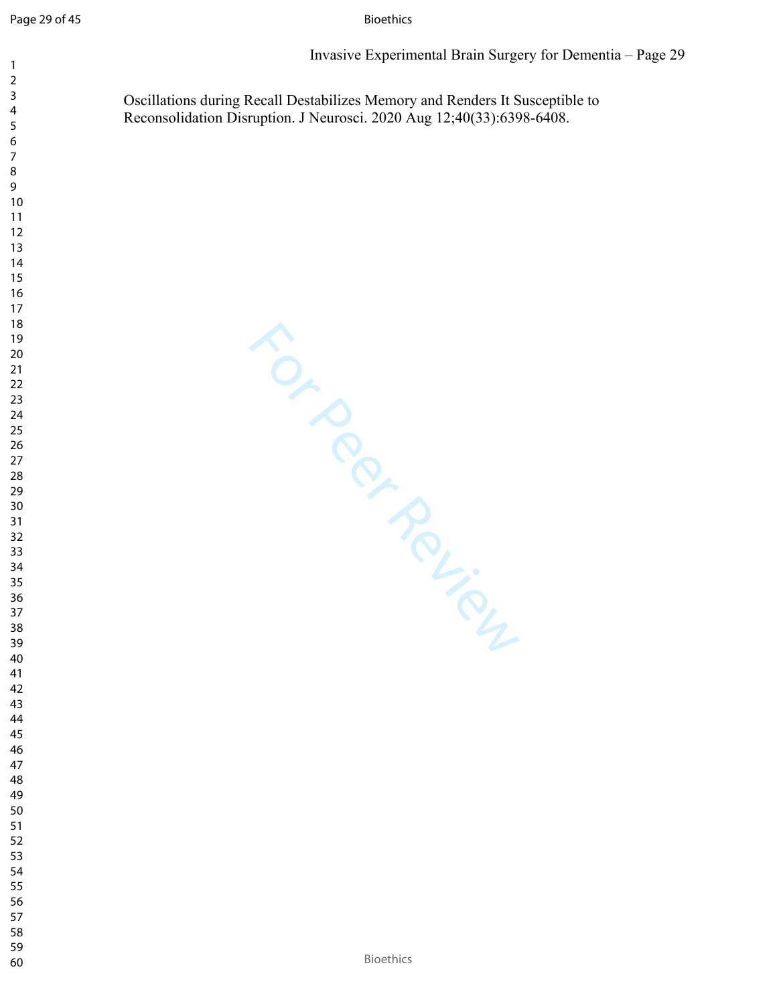$\mathbf{1}$  $\overline{2}$  $\overline{4}$  $\overline{7}$ 

#### Bioethics

Invasive Experimental Brain Surgery for Dementia – Page 29

Oscillations during Recall Destabilizes Memory and Renders It Susceptible to Reconsolidation Disruption. J Neurosci. 2020 Aug 12;40(33):6398-6408.

For Perincip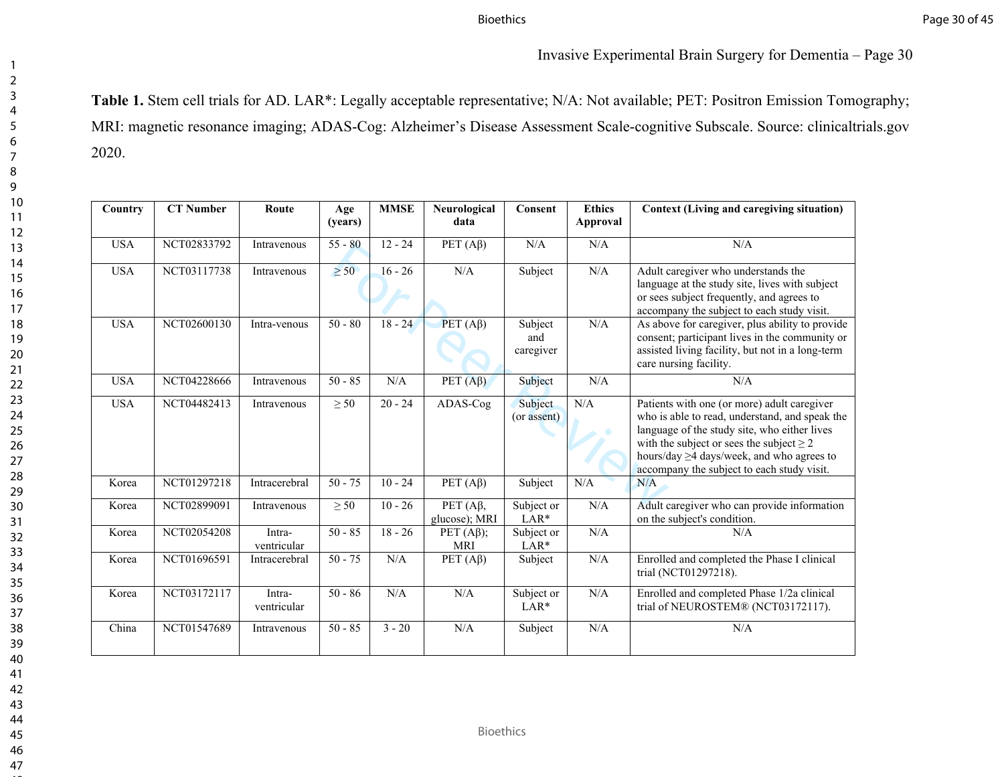**Table 1.** Stem cell trials for AD. LAR\*: Legally acceptable representative; N/A: Not available; PET: Positron Emission Tomography; MRI: magnetic resonance imaging; ADAS-Cog: Alzheimer's Disease Assessment Scale-cognitive Subscale. Source: clinicaltrials.gov 2020.

| Country    | <b>CT Number</b> | Route                 | Age<br>(years) | <b>MMSE</b> | Neurological<br>data                   | Consent                     | <b>Ethics</b><br>Approval | <b>Context (Living and caregiving situation)</b>                                                                                                                                                                                                                                                |
|------------|------------------|-----------------------|----------------|-------------|----------------------------------------|-----------------------------|---------------------------|-------------------------------------------------------------------------------------------------------------------------------------------------------------------------------------------------------------------------------------------------------------------------------------------------|
| <b>USA</b> | NCT02833792      | Intravenous           | $55 - 80$      | $12 - 24$   | $PET (A\beta)$                         | N/A                         | N/A                       | N/A                                                                                                                                                                                                                                                                                             |
| <b>USA</b> | NCT03117738      | Intravenous           | $\geq 50$      | $16 - 26$   | N/A                                    | Subject                     | N/A                       | Adult caregiver who understands the<br>language at the study site, lives with subject<br>or sees subject frequently, and agrees to<br>accompany the subject to each study visit.                                                                                                                |
| <b>USA</b> | NCT02600130      | Intra-venous          | $50 - 80$      | $18 - 24$   | $\overline{\text{PET (A\beta)}}$       | Subject<br>and<br>caregiver | N/A                       | As above for caregiver, plus ability to provide<br>consent; participant lives in the community or<br>assisted living facility, but not in a long-term<br>care nursing facility.                                                                                                                 |
| <b>USA</b> | NCT04228666      | Intravenous           | $50 - 85$      | N/A         | $\overline{\text{PET}}(\text{A}\beta)$ | Subject                     | N/A                       | N/A                                                                                                                                                                                                                                                                                             |
| <b>USA</b> | NCT04482413      | Intravenous           | $\geq 50$      | $20 - 24$   | ADAS-Cog                               | Subject<br>(or assent)      | N/A                       | Patients with one (or more) adult caregiver<br>who is able to read, understand, and speak the<br>language of the study site, who either lives<br>with the subject or sees the subject $\geq 2$<br>hours/day $\geq$ 4 days/week, and who agrees to<br>accompany the subject to each study visit. |
| Korea      | NCT01297218      | Intracerebral         | $50 - 75$      | $10 - 24$   | $PET (A\beta)$                         | Subject                     | N/A                       | N/A                                                                                                                                                                                                                                                                                             |
| Korea      | NCT02899091      | Intravenous           | $\geq$ 50      | $10 - 26$   | $PET (A\beta,$<br>glucose); MRI        | Subject or<br>$LAR*$        | N/A                       | Adult caregiver who can provide information<br>on the subject's condition.                                                                                                                                                                                                                      |
| Korea      | NCT02054208      | Intra-<br>ventricular | $50 - 85$      | $18 - 26$   | PET $(A\beta)$ ;<br><b>MRI</b>         | Subject or<br>$LAR*$        | N/A                       | N/A                                                                                                                                                                                                                                                                                             |
| Korea      | NCT01696591      | Intracerebral         | $50 - 75$      | N/A         | $PET(A\beta)$                          | Subject                     | N/A                       | Enrolled and completed the Phase I clinical<br>trial (NCT01297218).                                                                                                                                                                                                                             |
| Korea      | NCT03172117      | Intra-<br>ventricular | $50 - 86$      | N/A         | $\rm N/A$                              | Subject or<br>$LAR*$        | N/A                       | Enrolled and completed Phase 1/2a clinical<br>trial of NEUROSTEM® (NCT03172117).                                                                                                                                                                                                                |
| China      | NCT01547689      | Intravenous           | $50 - 85$      | $3 - 20$    | N/A                                    | Subject                     | N/A                       | N/A                                                                                                                                                                                                                                                                                             |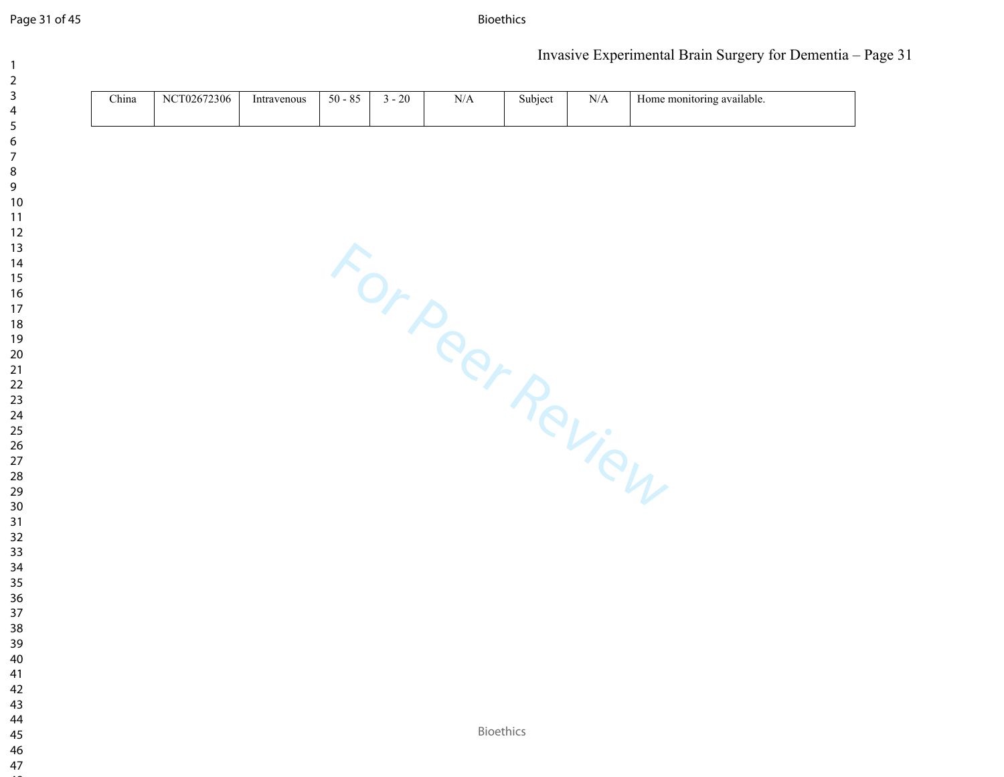## Page 31 of 45

Bioethics

Invasive Experimental Brain Surgery for Dementia – Page 31

| For Peer Review<br><b>Bioethics</b> | China | NCT02672306 | Intravenous | $50 - 85$ | $3 - 20$ | $\rm N/A$ | Subject | $\rm N/A$ | Home monitoring available. |
|-------------------------------------|-------|-------------|-------------|-----------|----------|-----------|---------|-----------|----------------------------|
|                                     |       |             |             |           |          |           |         |           |                            |
|                                     |       |             |             |           |          |           |         |           |                            |
|                                     |       |             |             |           |          |           |         |           |                            |
|                                     |       |             |             |           |          |           |         |           |                            |
|                                     |       |             |             |           |          |           |         |           |                            |
|                                     |       |             |             |           |          |           |         |           |                            |
|                                     |       |             |             |           |          |           |         |           |                            |
|                                     |       |             |             |           |          |           |         |           |                            |
|                                     |       |             |             |           |          |           |         |           |                            |
|                                     |       |             |             |           |          |           |         |           |                            |
|                                     |       |             |             |           |          |           |         |           |                            |
|                                     |       |             |             |           |          |           |         |           |                            |
|                                     |       |             |             |           |          |           |         |           |                            |
|                                     |       |             |             |           |          |           |         |           |                            |
|                                     |       |             |             |           |          |           |         |           |                            |
|                                     |       |             |             |           |          |           |         |           |                            |
|                                     |       |             |             |           |          |           |         |           |                            |
|                                     |       |             |             |           |          |           |         |           |                            |
|                                     |       |             |             |           |          |           |         |           |                            |
|                                     |       |             |             |           |          |           |         |           |                            |
|                                     |       |             |             |           |          |           |         |           |                            |
|                                     |       |             |             |           |          |           |         |           |                            |
|                                     |       |             |             |           |          |           |         |           |                            |
|                                     |       |             |             |           |          |           |         |           |                            |
|                                     |       |             |             |           |          |           |         |           |                            |
|                                     |       |             |             |           |          |           |         |           |                            |
|                                     |       |             |             |           |          |           |         |           |                            |
|                                     |       |             |             |           |          |           |         |           |                            |
|                                     |       |             |             |           |          |           |         |           |                            |
|                                     |       |             |             |           |          |           |         |           |                            |
|                                     |       |             |             |           |          |           |         |           |                            |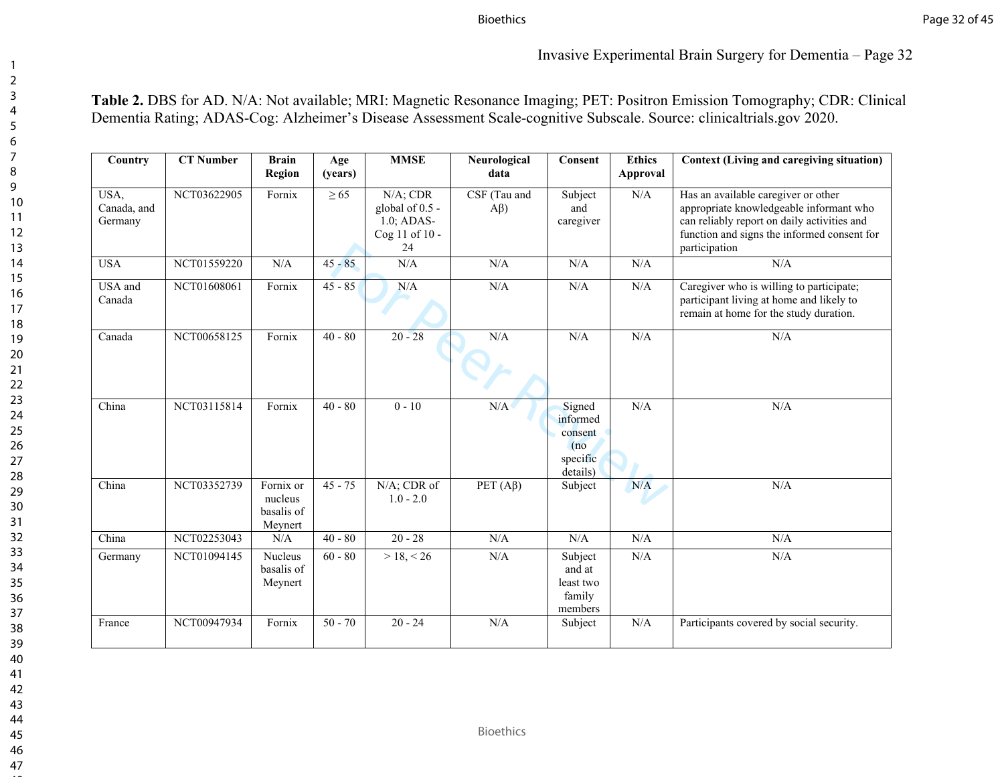**Table 2.** DBS for AD. N/A: Not available; MRI: Magnetic Resonance Imaging; PET: Positron Emission Tomography; CDR: Clinical Dementia Rating; ADAS-Cog: Alzheimer's Disease Assessment Scale-cognitive Subscale. Source: clinicaltrials.gov 2020.

| Country                        | <b>CT Number</b> | <b>Brain</b><br>Region                        | Age<br>(years) | <b>MMSE</b>                                                             | Neurological<br>data       | Consent                                                      | <b>Ethics</b><br>Approval | <b>Context (Living and caregiving situation)</b>                                                                                                                                              |
|--------------------------------|------------------|-----------------------------------------------|----------------|-------------------------------------------------------------------------|----------------------------|--------------------------------------------------------------|---------------------------|-----------------------------------------------------------------------------------------------------------------------------------------------------------------------------------------------|
| USA,<br>Canada, and<br>Germany | NCT03622905      | Fornix                                        | $\geq 65$      | $N/A$ ; CDR<br>global of 0.5 -<br>$1.0$ ; ADAS-<br>Cog 11 of 10 -<br>24 | CSF (Tau and<br>$A\beta$ ) | Subject<br>and<br>caregiver                                  | N/A                       | Has an available caregiver or other<br>appropriate knowledgeable informant who<br>can reliably report on daily activities and<br>function and signs the informed consent for<br>participation |
| <b>USA</b>                     | NCT01559220      | N/A                                           | $45 - 85$      | N/A                                                                     | N/A                        | N/A                                                          | N/A                       | N/A                                                                                                                                                                                           |
| <b>USA</b> and<br>Canada       | NCT01608061      | Fornix                                        | $45 - 85$      | N/A                                                                     | $\rm N/A$                  | N/A                                                          | $\rm N/A$                 | Caregiver who is willing to participate;<br>participant living at home and likely to<br>remain at home for the study duration.                                                                |
| Canada                         | NCT00658125      | Fornix                                        | $40 - 80$      | $20 - 28$                                                               | N/A                        | N/A                                                          | N/A                       | N/A                                                                                                                                                                                           |
| China                          | NCT03115814      | Fornix                                        | $40 - 80$      | $0 - 10$                                                                | N/A                        | Signed<br>informed<br>consent<br>(no<br>specific<br>details) | N/A                       | N/A                                                                                                                                                                                           |
| China                          | NCT03352739      | Fornix or<br>nucleus<br>basalis of<br>Meynert | $45 - 75$      | N/A; CDR of<br>$1.0 - 2.0$                                              | PET $(A\beta)$             | Subject                                                      | N/A                       | N/A                                                                                                                                                                                           |
| China                          | NCT02253043      | $\rm N/A$                                     | $40 - 80$      | $20 - 28$                                                               | $\rm N/A$                  | $\rm N/A$                                                    | N/A                       | N/A                                                                                                                                                                                           |
| Germany                        | NCT01094145      | Nucleus<br>basalis of<br>Meynert              | $60 - 80$      | $> 18, \le 26$                                                          | N/A                        | Subject<br>and at<br>least two<br>family<br>members          | N/A                       | N/A                                                                                                                                                                                           |
| France                         | NCT00947934      | Fornix                                        | $50 - 70$      | $20 - 24$                                                               | N/A                        | Subject                                                      | N/A                       | Participants covered by social security.                                                                                                                                                      |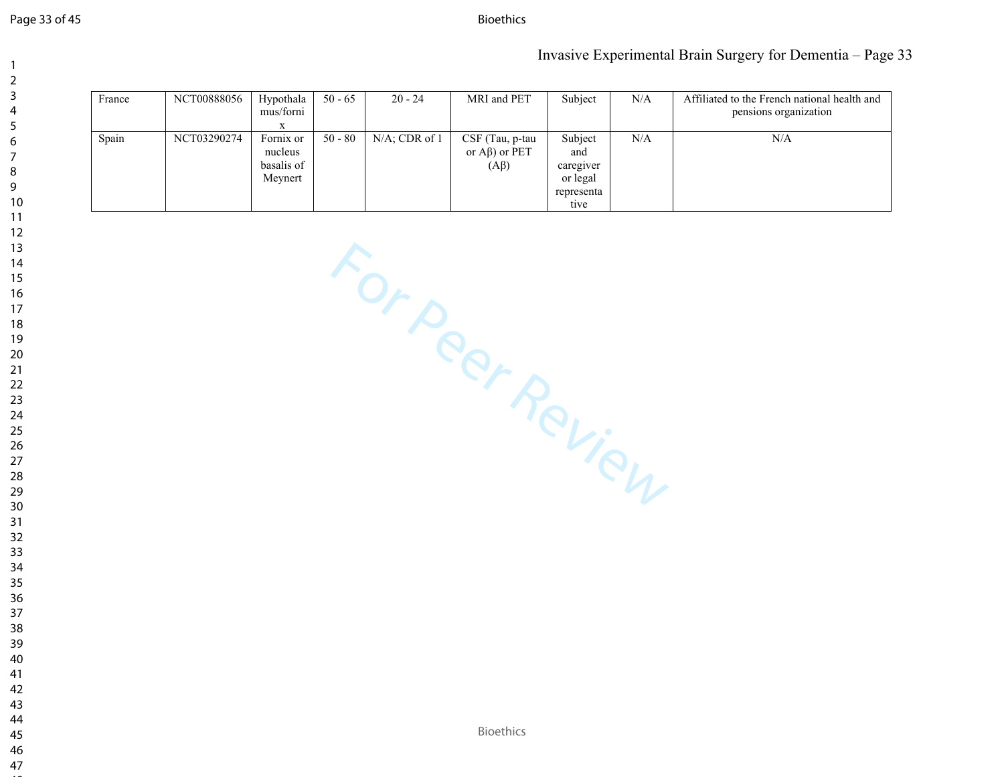## Page 33 of 45

 

#### Bioethics

## Invasive Experimental Brain Surgery for Dementia – Page 33

| France | NCT00888056 | Hypothala<br>mus/forni                        | $50 - 65$ | $20 - 24$        | MRI and PET                                           | Subject                                                       | N/A | Affiliated to the French national health and<br>pensions organization |
|--------|-------------|-----------------------------------------------|-----------|------------------|-------------------------------------------------------|---------------------------------------------------------------|-----|-----------------------------------------------------------------------|
| Spain  | NCT03290274 | Fornix or<br>nucleus<br>basalis of<br>Meynert | $50 - 80$ | $N/A$ ; CDR of 1 | CSF (Tau, p-tau<br>or $A\beta$ ) or PET<br>$(A\beta)$ | Subject<br>and<br>caregiver<br>or legal<br>representa<br>tive | N/A | N/A                                                                   |

For Peer Review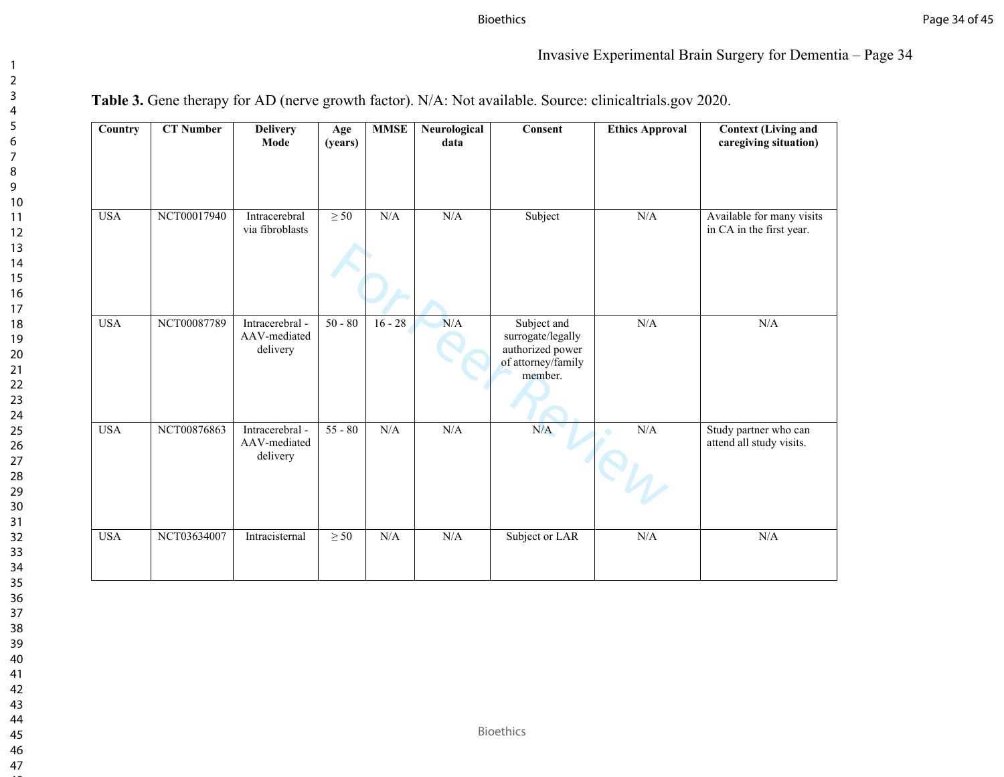| Country    | <b>CT Number</b> | <b>Delivery</b><br>Mode                     | Age<br>(years) | <b>MMSE</b> | Neurological<br>data | Consent                                                                               | <b>Ethics Approval</b> | <b>Context (Living and</b><br>caregiving situation)   |
|------------|------------------|---------------------------------------------|----------------|-------------|----------------------|---------------------------------------------------------------------------------------|------------------------|-------------------------------------------------------|
| <b>USA</b> | NCT00017940      | Intracerebral<br>via fibroblasts            | $\geq 50$      | N/A         | N/A                  | Subject                                                                               | N/A                    | Available for many visits<br>in CA in the first year. |
| <b>USA</b> | NCT00087789      | Intracerebral -<br>AAV-mediated<br>delivery | $50 - 80$      | $16 - 28$   | N/A                  | Subject and<br>surrogate/legally<br>authorized power<br>of attorney/family<br>member. | $\rm N/A$              | N/A                                                   |
| <b>USA</b> | NCT00876863      | Intracerebral -<br>AAV-mediated<br>delivery | $55 - 80$      | N/A         | N/A                  | N/A                                                                                   | N/A                    | Study partner who can<br>attend all study visits.     |
| <b>USA</b> | NCT03634007      | Intracisternal                              | $\geq$ 50      | N/A         | N/A                  | Subject or LAR                                                                        | N/A                    | N/A                                                   |

**Table 3.** Gene therapy for AD (nerve growth factor). N/A: Not available. Source: clinicaltrials.gov 2020.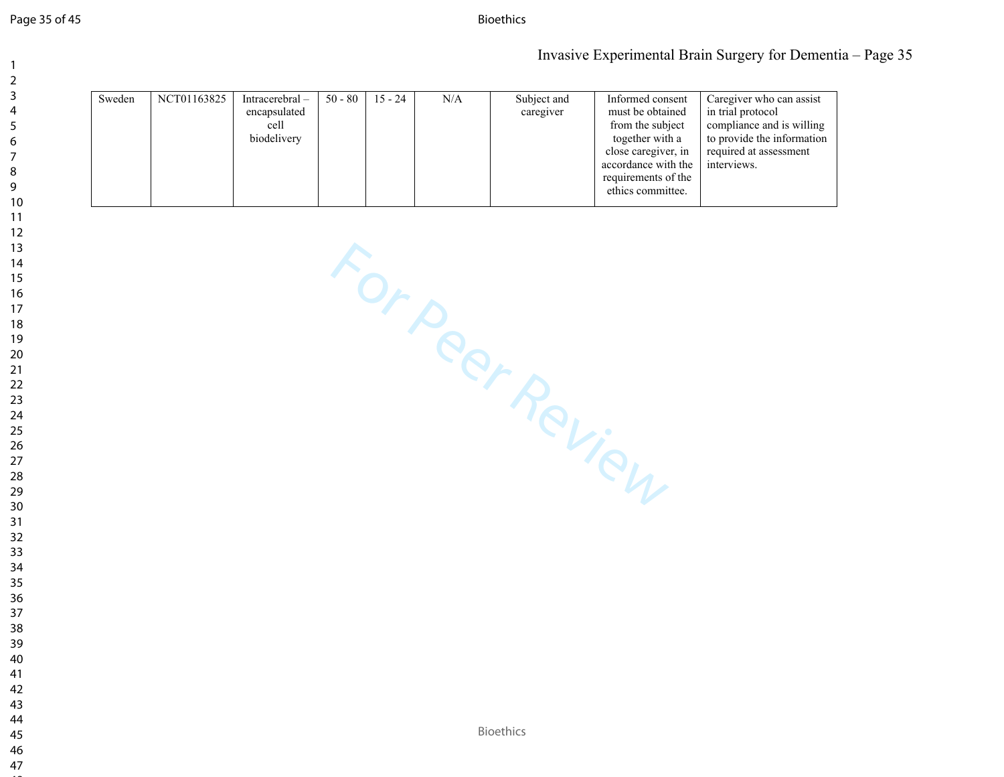## Page 35 of 45

## Bioethics

## Invasive Experimental Brain Surgery for Dementia – Page 35

| Sweden | NCT01163825 | $Intraceebral -$<br>encapsulated<br>cell<br>biodelivery | $50 - 80$ | $15 - 24$ | N/A | Subject and<br>caregiver | Informed consent<br>must be obtained<br>from the subject<br>together with a<br>close caregiver, in<br>accordance with the<br>requirements of the | Caregiver who can assist<br>in trial protocol<br>compliance and is willing<br>to provide the information<br>required at assessment<br>interviews. |
|--------|-------------|---------------------------------------------------------|-----------|-----------|-----|--------------------------|--------------------------------------------------------------------------------------------------------------------------------------------------|---------------------------------------------------------------------------------------------------------------------------------------------------|
|        |             |                                                         |           |           |     |                          | ethics committee.                                                                                                                                |                                                                                                                                                   |

For Peer Review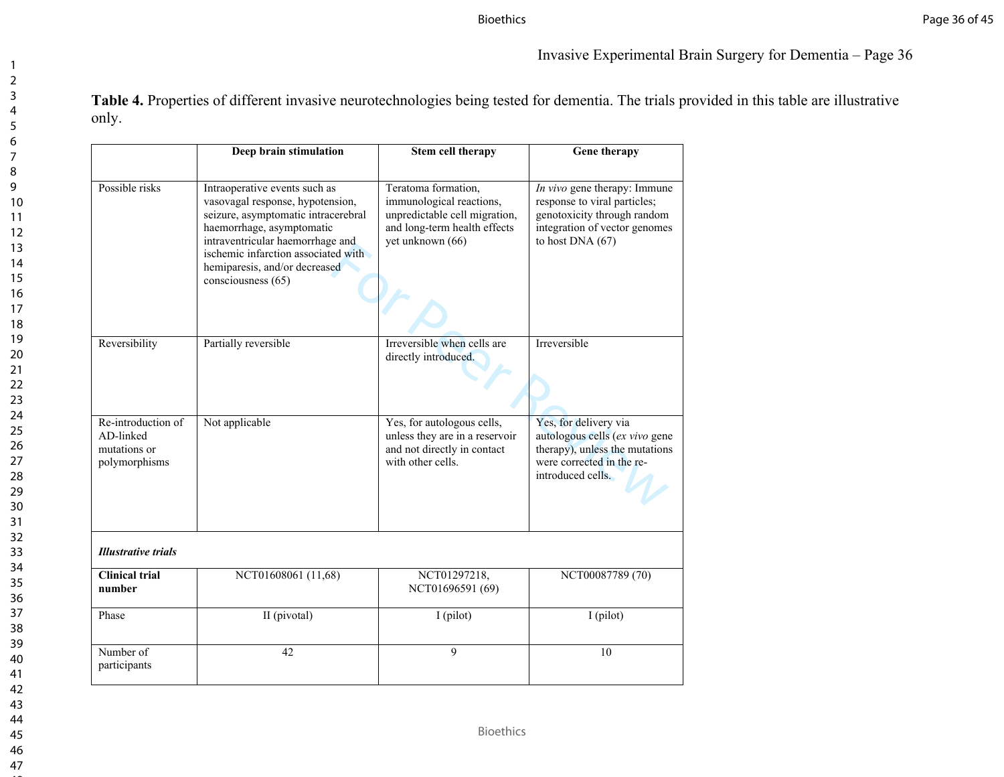**Table 4.** Properties of different invasive neurotechnologies being tested for dementia. The trials provided in this table are illustrative only.

|                                                                  | Deep brain stimulation                                                                                                                                                                                                                                                  | Stem cell therapy                                                                                                                    | Gene therapy                                                                                                                                       |
|------------------------------------------------------------------|-------------------------------------------------------------------------------------------------------------------------------------------------------------------------------------------------------------------------------------------------------------------------|--------------------------------------------------------------------------------------------------------------------------------------|----------------------------------------------------------------------------------------------------------------------------------------------------|
| Possible risks                                                   | Intraoperative events such as<br>vasovagal response, hypotension,<br>seizure, asymptomatic intracerebral<br>haemorrhage, asymptomatic<br>intraventricular haemorrhage and<br>ischemic infarction associated with<br>hemiparesis, and/or decreased<br>consciousness (65) | Teratoma formation,<br>immunological reactions,<br>unpredictable cell migration,<br>and long-term health effects<br>yet unknown (66) | In vivo gene therapy: Immune<br>response to viral particles;<br>genotoxicity through random<br>integration of vector genomes<br>to host DNA $(67)$ |
| Reversibility                                                    | Partially reversible                                                                                                                                                                                                                                                    | Irreversible when cells are<br>directly introduced.                                                                                  | Irreversible                                                                                                                                       |
| Re-introduction of<br>AD-linked<br>mutations or<br>polymorphisms | Not applicable                                                                                                                                                                                                                                                          | Yes, for autologous cells,<br>unless they are in a reservoir<br>and not directly in contact<br>with other cells.                     | Yes, for delivery via<br>autologous cells (ex vivo gene<br>therapy), unless the mutations<br>were corrected in the re-<br>introduced cells.        |
| <b>Illustrative trials</b>                                       |                                                                                                                                                                                                                                                                         |                                                                                                                                      |                                                                                                                                                    |
| <b>Clinical trial</b><br>number                                  | NCT01608061 (11,68)                                                                                                                                                                                                                                                     | NCT01297218,<br>NCT01696591 (69)                                                                                                     | NCT00087789 (70)                                                                                                                                   |
| Phase                                                            | II (pivotal)                                                                                                                                                                                                                                                            | I (pilot)                                                                                                                            | I (pilot)                                                                                                                                          |
| Number of<br>participants                                        | 42                                                                                                                                                                                                                                                                      | 9                                                                                                                                    | 10                                                                                                                                                 |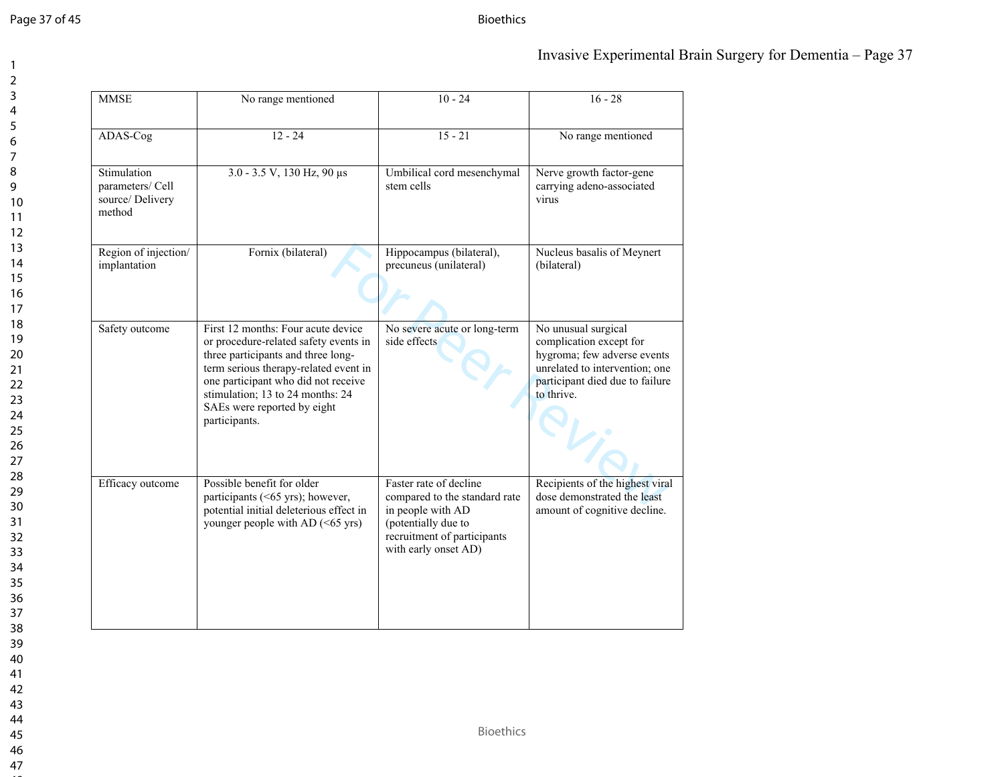Page 37 of 45

| <b>MMSE</b>                                                   | No range mentioned                                                                                                                                                                                                                                                                    | $10 - 24$                                                                                                                                                  | $16 - 28$                                                                                                                                                        |
|---------------------------------------------------------------|---------------------------------------------------------------------------------------------------------------------------------------------------------------------------------------------------------------------------------------------------------------------------------------|------------------------------------------------------------------------------------------------------------------------------------------------------------|------------------------------------------------------------------------------------------------------------------------------------------------------------------|
| ADAS-Cog                                                      | $12 - 24$                                                                                                                                                                                                                                                                             | $15 - 21$                                                                                                                                                  | No range mentioned                                                                                                                                               |
| Stimulation<br>parameters/ Cell<br>source/ Delivery<br>method | 3.0 - 3.5 V, 130 Hz, 90 µs                                                                                                                                                                                                                                                            | Umbilical cord mesenchymal<br>stem cells                                                                                                                   | Nerve growth factor-gene<br>carrying adeno-associated<br>virus                                                                                                   |
| Region of injection/<br>implantation                          | Fornix (bilateral)                                                                                                                                                                                                                                                                    | Hippocampus (bilateral),<br>precuneus (unilateral)                                                                                                         | Nucleus basalis of Meynert<br>(bilateral)                                                                                                                        |
| Safety outcome                                                | First 12 months: Four acute device<br>or procedure-related safety events in<br>three participants and three long-<br>term serious therapy-related event in<br>one participant who did not receive<br>stimulation; 13 to 24 months: 24<br>SAEs were reported by eight<br>participants. | No severe acute or long-term<br>side effects                                                                                                               | No unusual surgical<br>complication except for<br>hygroma; few adverse events<br>unrelated to intervention; one<br>participant died due to failure<br>to thrive. |
| Efficacy outcome                                              | Possible benefit for older<br>participants (<65 yrs); however,<br>potential initial deleterious effect in<br>younger people with AD (<65 yrs)                                                                                                                                         | Faster rate of decline<br>compared to the standard rate<br>in people with AD<br>(potentially due to<br>recruitment of participants<br>with early onset AD) | Recipients of the highest viral<br>dose demonstrated the least<br>amount of cognitive decline.                                                                   |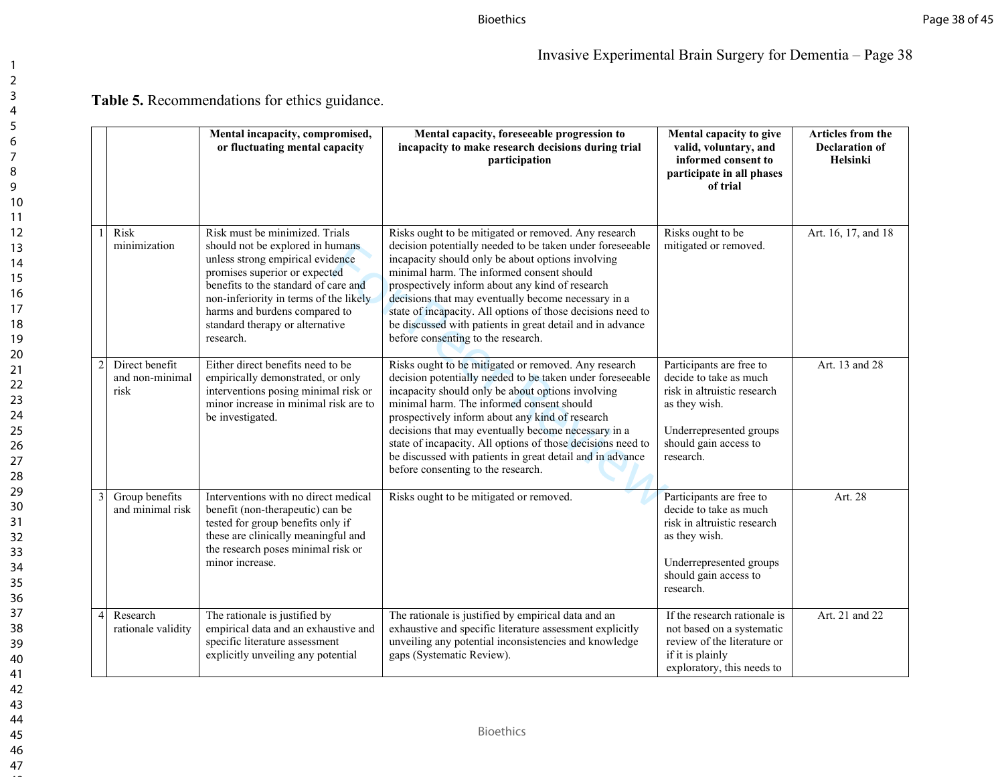## **Table 5.** Recommendations for ethics guidance.

|                |                                           | Mental incapacity, compromised,<br>or fluctuating mental capacity                                                                                                                                                                                                                                          | Mental capacity, foreseeable progression to<br>incapacity to make research decisions during trial<br>participation                                                                                                                                                                                                                                                                                                                                                                              | Mental capacity to give<br>valid, voluntary, and<br>informed consent to<br>participate in all phases<br>of trial                                                    | Articles from the<br><b>Declaration of</b><br>Helsinki |
|----------------|-------------------------------------------|------------------------------------------------------------------------------------------------------------------------------------------------------------------------------------------------------------------------------------------------------------------------------------------------------------|-------------------------------------------------------------------------------------------------------------------------------------------------------------------------------------------------------------------------------------------------------------------------------------------------------------------------------------------------------------------------------------------------------------------------------------------------------------------------------------------------|---------------------------------------------------------------------------------------------------------------------------------------------------------------------|--------------------------------------------------------|
|                | Risk<br>minimization                      | Risk must be minimized. Trials<br>should not be explored in humans<br>unless strong empirical evidence<br>promises superior or expected<br>benefits to the standard of care and<br>non-inferiority in terms of the likely<br>harms and burdens compared to<br>standard therapy or alternative<br>research. | Risks ought to be mitigated or removed. Any research<br>decision potentially needed to be taken under foreseeable<br>incapacity should only be about options involving<br>minimal harm. The informed consent should<br>prospectively inform about any kind of research<br>decisions that may eventually become necessary in a<br>state of incapacity. All options of those decisions need to<br>be discussed with patients in great detail and in advance<br>before consenting to the research. | Risks ought to be<br>mitigated or removed.                                                                                                                          | Art. 16, 17, and 18                                    |
|                | Direct benefit<br>and non-minimal<br>risk | Either direct benefits need to be<br>empirically demonstrated, or only<br>interventions posing minimal risk or<br>minor increase in minimal risk are to<br>be investigated.                                                                                                                                | Risks ought to be mitigated or removed. Any research<br>decision potentially needed to be taken under foreseeable<br>incapacity should only be about options involving<br>minimal harm. The informed consent should<br>prospectively inform about any kind of research<br>decisions that may eventually become necessary in a<br>state of incapacity. All options of those decisions need to<br>be discussed with patients in great detail and in advance<br>before consenting to the research. | Participants are free to<br>decide to take as much<br>risk in altruistic research<br>as they wish.<br>Underrepresented groups<br>should gain access to<br>research. | Art. 13 and 28                                         |
| $\overline{3}$ | Group benefits<br>and minimal risk        | Interventions with no direct medical<br>benefit (non-therapeutic) can be<br>tested for group benefits only if<br>these are clinically meaningful and<br>the research poses minimal risk or<br>minor increase.                                                                                              | Risks ought to be mitigated or removed.                                                                                                                                                                                                                                                                                                                                                                                                                                                         | Participants are free to<br>decide to take as much<br>risk in altruistic research<br>as they wish.<br>Underrepresented groups<br>should gain access to<br>research. | Art. 28                                                |
|                | Research<br>rationale validity            | The rationale is justified by<br>empirical data and an exhaustive and<br>specific literature assessment<br>explicitly unveiling any potential                                                                                                                                                              | The rationale is justified by empirical data and an<br>exhaustive and specific literature assessment explicitly<br>unveiling any potential inconsistencies and knowledge<br>gaps (Systematic Review).                                                                                                                                                                                                                                                                                           | If the research rationale is<br>not based on a systematic<br>review of the literature or<br>if it is plainly<br>exploratory, this needs to                          | Art. 21 and 22                                         |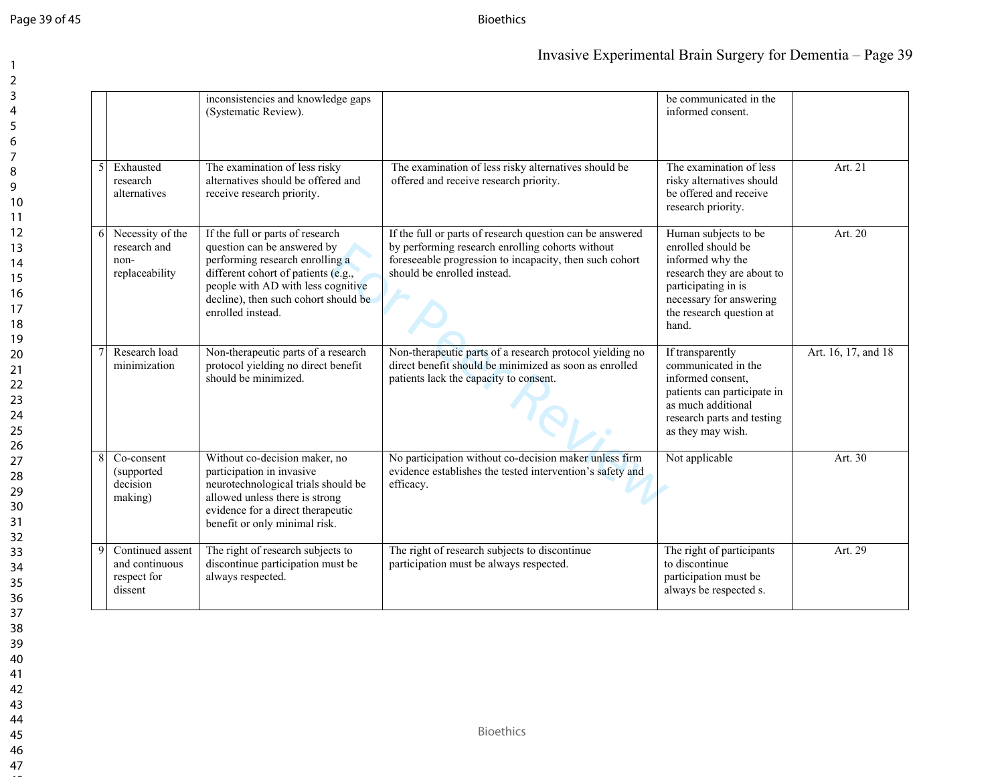|                |                                                              | inconsistencies and knowledge gaps<br>(Systematic Review).                                                                                                                                                                                   |                                                                                                                                                                                                         | be communicated in the<br>informed consent.                                                                                                                                         |                     |
|----------------|--------------------------------------------------------------|----------------------------------------------------------------------------------------------------------------------------------------------------------------------------------------------------------------------------------------------|---------------------------------------------------------------------------------------------------------------------------------------------------------------------------------------------------------|-------------------------------------------------------------------------------------------------------------------------------------------------------------------------------------|---------------------|
| 5 <sup>1</sup> | Exhausted<br>research<br>alternatives                        | The examination of less risky<br>alternatives should be offered and<br>receive research priority.                                                                                                                                            | The examination of less risky alternatives should be<br>offered and receive research priority.                                                                                                          | The examination of less<br>risky alternatives should<br>be offered and receive<br>research priority.                                                                                | Art. 21             |
| 61             | Necessity of the<br>research and<br>non-<br>replaceability   | If the full or parts of research<br>question can be answered by<br>performing research enrolling a<br>different cohort of patients (e.g.,<br>people with AD with less cognitive<br>decline), then such cohort should be<br>enrolled instead. | If the full or parts of research question can be answered<br>by performing research enrolling cohorts without<br>foreseeable progression to incapacity, then such cohort<br>should be enrolled instead. | Human subjects to be<br>enrolled should be<br>informed why the<br>research they are about to<br>participating in is<br>necessary for answering<br>the research question at<br>hand. | Art. 20             |
| 7              | Research load<br>minimization                                | Non-therapeutic parts of a research<br>protocol yielding no direct benefit<br>should be minimized.                                                                                                                                           | Non-therapeutic parts of a research protocol yielding no<br>direct benefit should be minimized as soon as enrolled<br>patients lack the capacity to consent.                                            | If transparently<br>communicated in the<br>informed consent,<br>patients can participate in<br>as much additional<br>research parts and testing<br>as they may wish.                | Art. 16, 17, and 18 |
| 8 <sup>1</sup> | Co-consent<br>(supported<br>decision<br>making)              | Without co-decision maker, no<br>participation in invasive<br>neurotechnological trials should be<br>allowed unless there is strong<br>evidence for a direct therapeutic<br>benefit or only minimal risk.                                    | No participation without co-decision maker unless firm<br>evidence establishes the tested intervention's safety and<br>efficacy.                                                                        | Not applicable                                                                                                                                                                      | Art. 30             |
| 9              | Continued assent<br>and continuous<br>respect for<br>dissent | The right of research subjects to<br>discontinue participation must be<br>always respected.                                                                                                                                                  | The right of research subjects to discontinue<br>participation must be always respected.                                                                                                                | The right of participants<br>to discontinue<br>participation must be<br>always be respected s.                                                                                      | Art. 29             |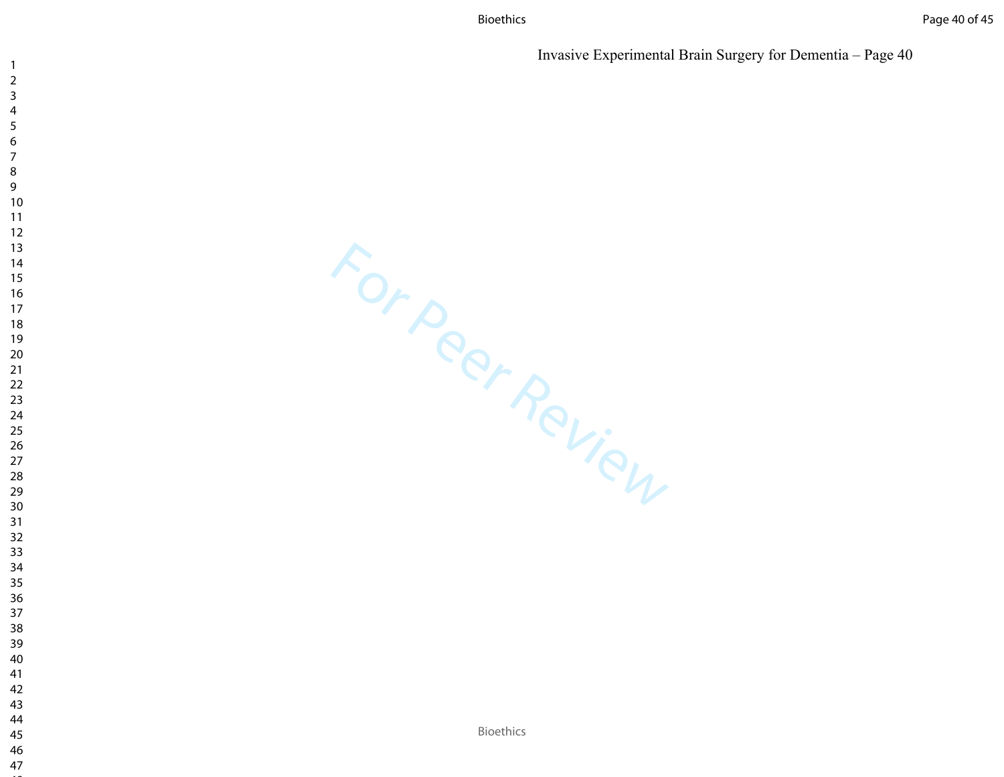$\overline{\mathbf{1}}$  $\overline{2}$  $\overline{4}$  $\overline{7}$ 

Invasive Experimental Brain Surgery for Dementia – Page 40

For Peer Review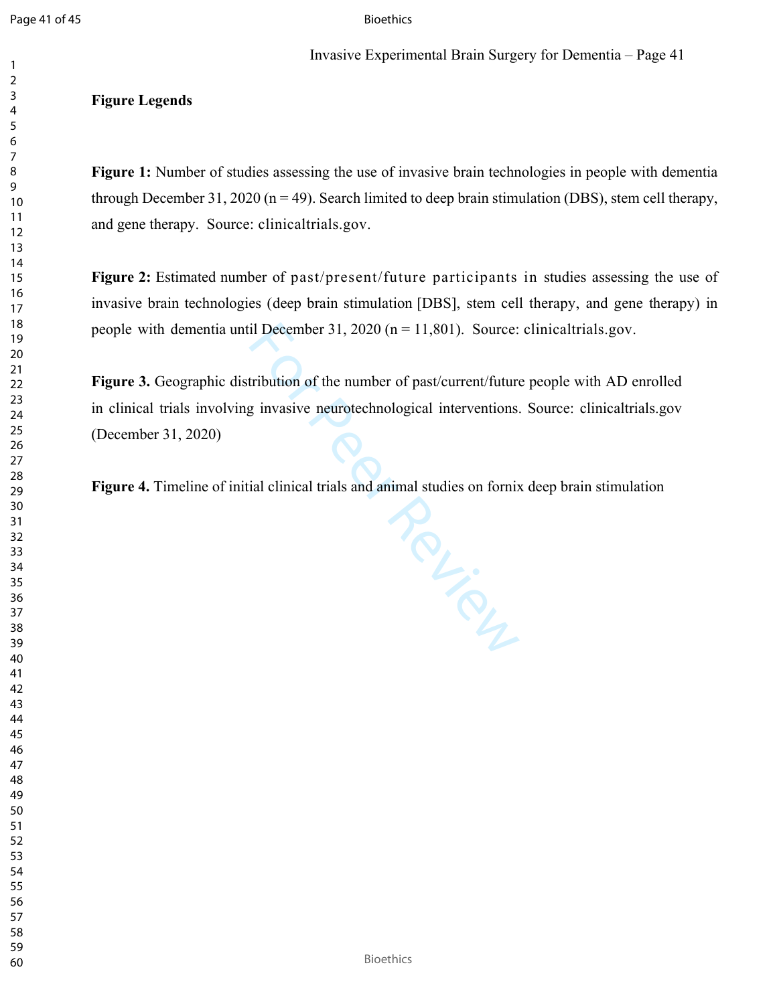Bioethics

Invasive Experimental Brain Surgery for Dementia – Page 41

## **Figure Legends**

**Figure 1:** Number of studies assessing the use of invasive brain technologies in people with dementia through December 31, 2020 ( $n = 49$ ). Search limited to deep brain stimulation (DBS), stem cell therapy, and gene therapy. Source: clinicaltrials.gov.

Figure 2: Estimated number of past/present/future participants in studies assessing the use of invasive brain technologies (deep brain stimulation [DBS], stem cell therapy, and gene therapy) in people with dementia until December 31, 2020 ( $n = 11,801$ ). Source: clinicaltrials.gov.

**Figure 3.** Geographic distribution of the number of past/current/future people with AD enrolled in clinical trials involving invasive neurotechnological interventions. Source: clinicaltrials.gov (December 31, 2020)

Review Review **Figure 4.** Timeline of initial clinical trials and animal studies on fornix deep brain stimulation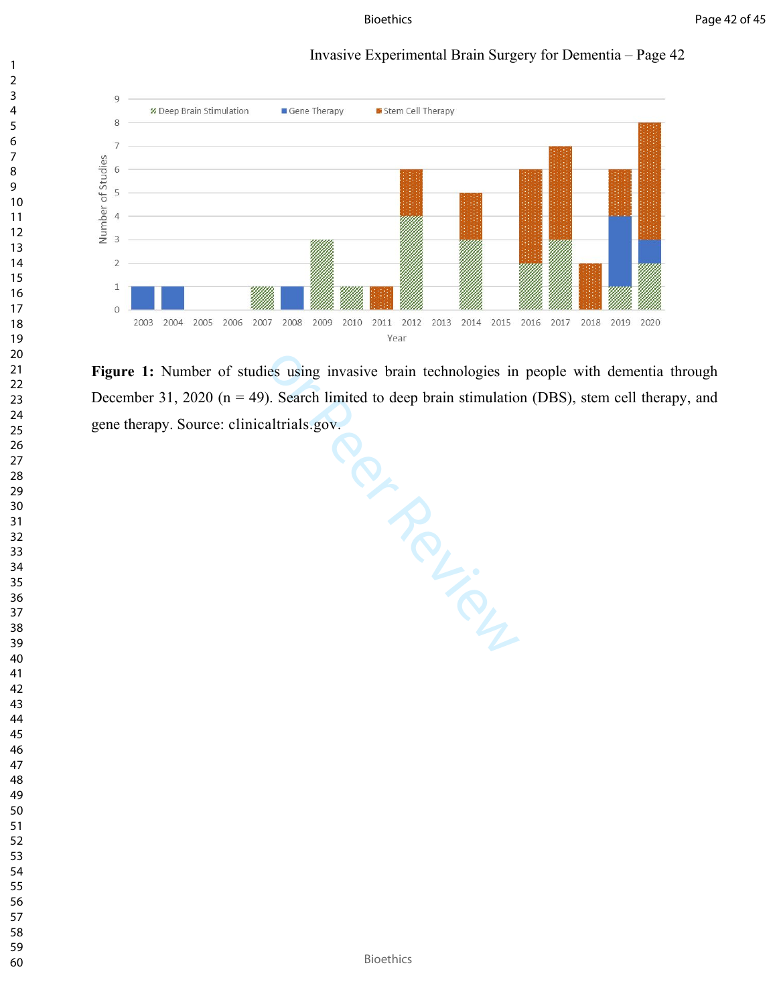

Invasive Experimental Brain Surgery for Dementia – Page 42

2003 2004 2005 2007 2009 2010 2011 2012 2013 2014 2015 2016 2017 2018<br>
Year<br>
1: Number of studies using invasive brain technologies in people with<br>
ther 31, 2020 (n = 49). Search limited to deep brain stimulation (DBS), s **Figure 1:** Number of studies using invasive brain technologies in people with dementia through December 31, 2020 ( $n = 49$ ). Search limited to deep brain stimulation (DBS), stem cell therapy, and gene therapy. Source: clinicaltrials.gov.

Bioethics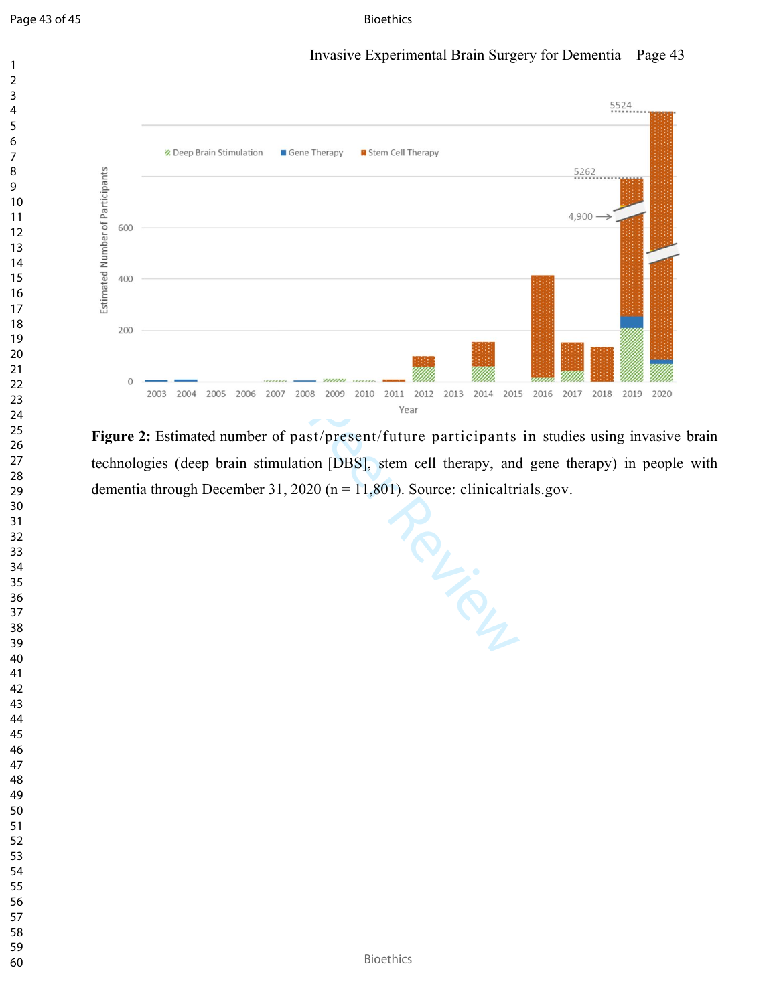## Invasive Experimental Brain Surgery for Dementia – Page 43



 $\frac{2003}{2004}$   $\frac{2005}{2005}$   $\frac{2006}{2007}$   $\frac{2008}{2009}$   $\frac{2009}{2010}$   $\frac{2011}{2012}$   $\frac{2013}{2014}$   $\frac{2015}{2015}$   $\frac{2016}{2017}$   $\frac{2019}{2020}$   $\frac{2020}{2019}$ <br>  $\therefore$  Estimated number of past/present/futur Figure 2: Estimated number of past/present/future participants in studies using invasive brain technologies (deep brain stimulation [DBS], stem cell therapy, and gene therapy) in people with dementia through December 31, 2020 ( $n = 11,801$ ). Source: clinicaltrials.gov.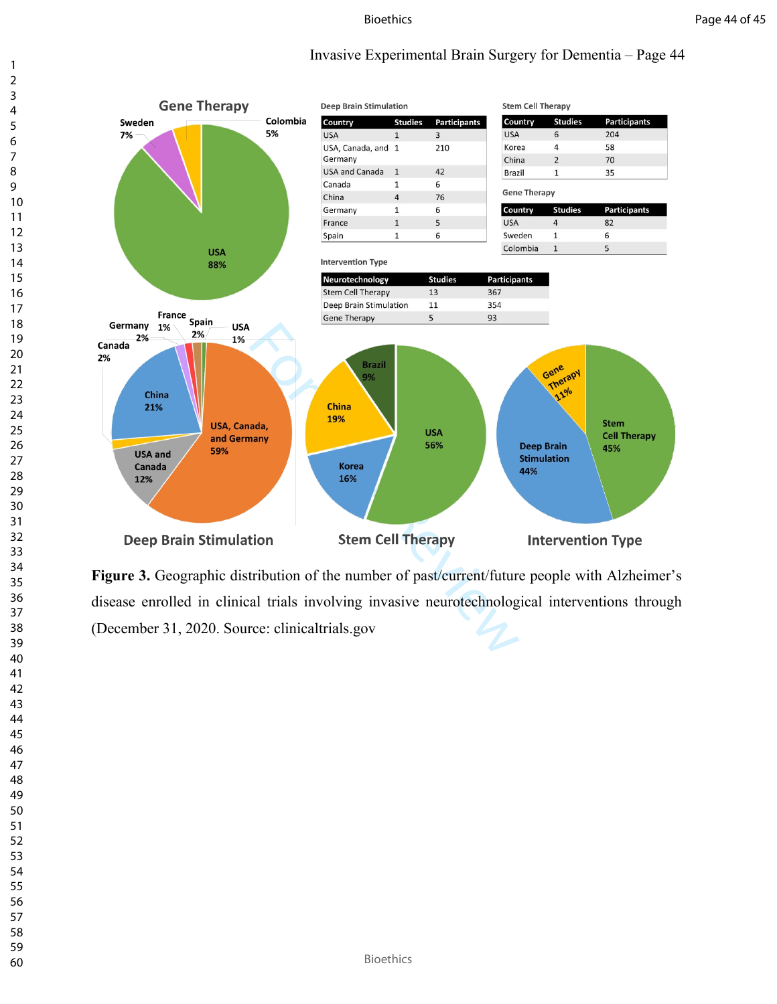

**Figure 3.** Geographic distribution of the number of past/current/future people with Alzheimer's disease enrolled in clinical trials involving invasive neurotechnological interventions through (December 31, 2020. Source: clinicaltrials.gov